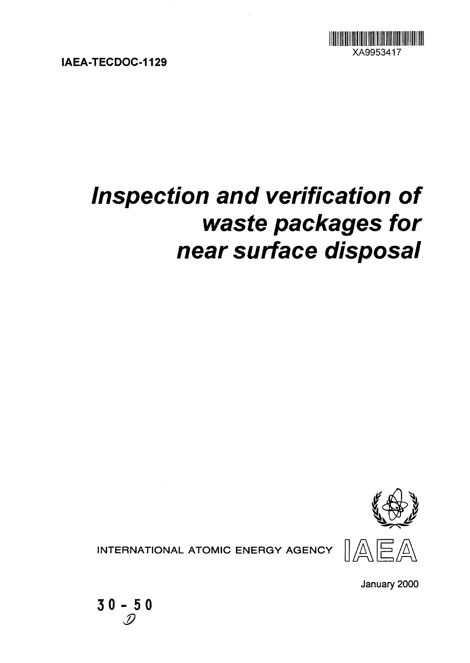

**IAEA-TECDOC-1129**

# **Inspection and verification of waste packages for near surface disposal**



INTERNATIONAL ATOMIC ENERGY AGENCY  $\left\| \bigwedge^n$ 



January 2000

**30- 50**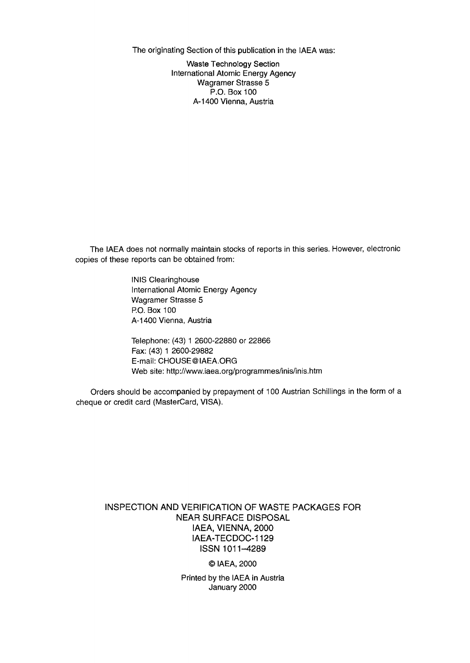The originating Section of this publication in the IAEA was:

Waste Technology Section International Atomic Energy Agency Wagramer Strasse 5 P.O. Box 100 A-1400 Vienna, Austria

The IAEA does not normally maintain stocks of reports in this series. However, electronic copies of these reports can be obtained from:

> INIS Clearinghouse International Atomic Energy Agency Wagramer Strasse 5 P.O. Box 100 A-1400 Vienna, Austria

Telephone: (43) 1 2600-22880 or 22866 Fax: (43) 1 2600-29882 E-mail: CHOUSE@IAEA.ORG Web site: http://www.iaea.org/programmes/inis/inis.htm

Orders should be accompanied by prepayment of 100 Austrian Schillings in the form of a cheque or credit card (MasterCard, VISA).

#### INSPECTION AND VERIFICATION OF WASTE PACKAGES FOR NEAR SURFACE DISPOSAL IAEA, VIENNA, 2000 IAEA-TECDOC-1129 ISSN 1011-4289

© IAEA, 2000

Printed by the IAEA in Austria January 2000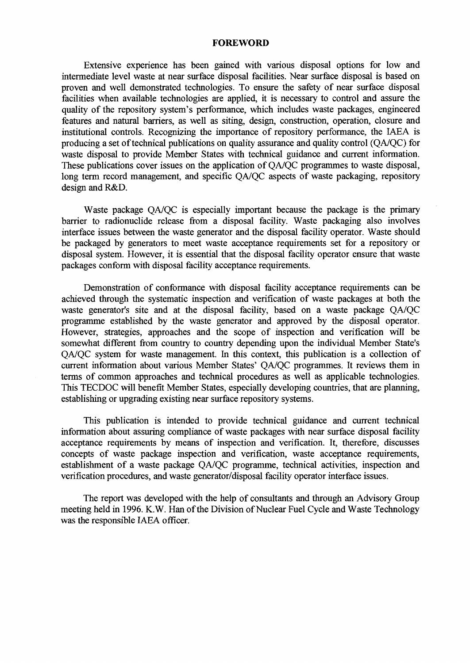#### **FOREWORD**

Extensive experience has been gained with various disposal options for low and intermediate level waste at near surface disposal facilities. Near surface disposal is based on proven and well demonstrated technologies. To ensure the safety of near surface disposal facilities when available technologies are applied, it is necessary to control and assure the quality of the repository system's performance, which includes waste packages, engineered features and natural barriers, as well as siting, design, construction, operation, closure and institutional controls. Recognizing the importance of repository performance, the IAEA is producing a set of technical publications on quality assurance and quality control (QA/QC) for waste disposal to provide Member States with technical guidance and current information. These publications cover issues on the application of QA/QC programmes to waste disposal, long term record management, and specific QA/QC aspects of waste packaging, repository design and R&D.

Waste package QA/QC is especially important because the package is the primary barrier to radionuclide release from a disposal facility. Waste packaging also involves interface issues between the waste generator and the disposal facility operator. Waste should be packaged by generators to meet waste acceptance requirements set for a repository or disposal system. However, it is essential that the disposal facility operator ensure that waste packages conform with disposal facility acceptance requirements.

Demonstration of conformance with disposal facility acceptance requirements can be achieved through the systematic inspection and verification of waste packages at both the waste generator's site and at the disposal facility, based on a waste package QA/QC programme established by the waste generator and approved by the disposal operator. However, strategies, approaches and the scope of inspection and verification will be somewhat different from country to country depending upon the individual Member State's QA/QC system for waste management. In this context, this publication is a collection of current information about various Member States' QA/QC programmes. It reviews them in terms of common approaches and technical procedures as well as applicable technologies. This TECDOC will benefit Member States, especially developing countries, that are planning, establishing or upgrading existing near surface repository systems.

This publication is intended to provide technical guidance and current technical information about assuring compliance of waste packages with near surface disposal facility acceptance requirements by means of inspection and verification. It, therefore, discusses concepts of waste package inspection and verification, waste acceptance requirements, establishment of a waste package QA/QC programme, technical activities, inspection and verification procedures, and waste generator/disposal facility operator interface issues.

The report was developed with the help of consultants and through an Advisory Group meeting held in 1996. K.W. Han of the Division of Nuclear Fuel Cycle and Waste Technology was the responsible IAEA officer.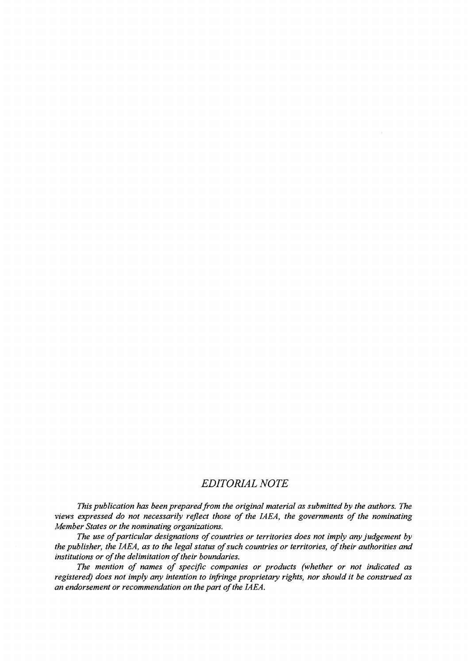#### *EDITORIAL NOTE*

*This publication has been prepared from the original material as submitted by the authors. The views expressed do not necessarily reflect those of the IAEA, the governments of the nominating Member States or the nominating organizations.*

*The use of particular designations of countries or territories does not imply any judgement by the publisher, the IAEA, as to the legal status of such countries or territories, of their authorities and institutions or of the delimitation of their boundaries.*

*The mention of names of specific companies or products (whether or not indicated as registered) does not imply any intention to infringe proprietary rights, nor should it be construed as an endorsement or recommendation on the part of the IAEA.*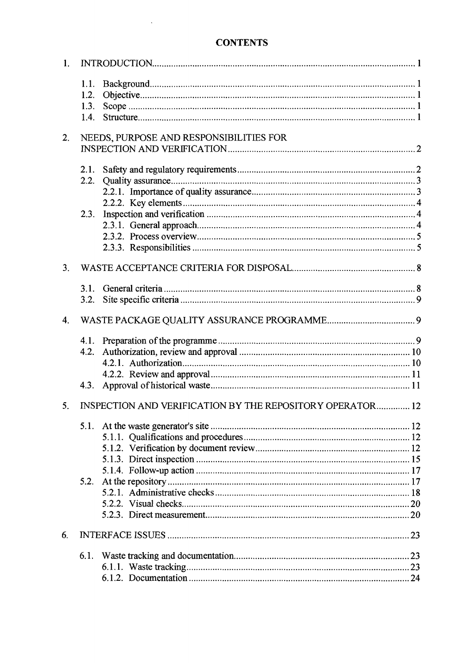# **CONTENTS**

 $\sim$ 

| 1.             |                      |                                                           |  |
|----------------|----------------------|-----------------------------------------------------------|--|
|                | 1.1.<br>1.2.<br>1.3. |                                                           |  |
|                | 1.4.                 |                                                           |  |
| 2.             |                      | NEEDS, PURPOSE AND RESPONSIBILITIES FOR                   |  |
|                |                      |                                                           |  |
|                |                      |                                                           |  |
|                | 2.1.                 |                                                           |  |
|                | 2.2.                 |                                                           |  |
|                |                      |                                                           |  |
|                |                      |                                                           |  |
|                | 2.3.                 |                                                           |  |
|                |                      |                                                           |  |
|                |                      |                                                           |  |
|                |                      |                                                           |  |
| 3 <sub>1</sub> |                      |                                                           |  |
|                | 3.1.                 |                                                           |  |
|                | 3.2.                 |                                                           |  |
| 4 <sub>1</sub> |                      |                                                           |  |
|                |                      |                                                           |  |
|                | 4.2.                 |                                                           |  |
|                |                      |                                                           |  |
|                |                      |                                                           |  |
|                | 4.3.                 |                                                           |  |
| 5.             |                      | INSPECTION AND VERIFICATION BY THE REPOSITORY OPERATOR 12 |  |
|                | 5.1.                 |                                                           |  |
|                |                      |                                                           |  |
|                |                      |                                                           |  |
|                |                      |                                                           |  |
|                |                      |                                                           |  |
|                | 5.2.                 |                                                           |  |
|                |                      |                                                           |  |
|                |                      |                                                           |  |
|                |                      |                                                           |  |
| 6.             |                      |                                                           |  |
|                | 6.1.                 |                                                           |  |
|                |                      |                                                           |  |
|                |                      |                                                           |  |
|                |                      |                                                           |  |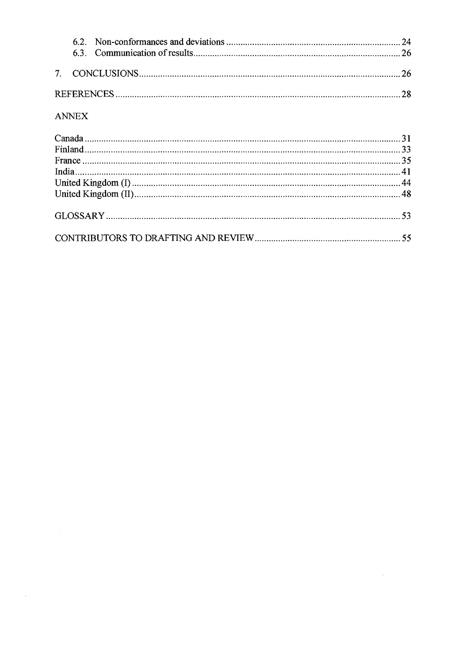#### ANNEX

 $\sim 10^{11}$  km  $^{-1}$ 

 $\label{eq:2.1} \frac{1}{\sqrt{2\pi}}\int_{\mathbb{R}^3}\frac{1}{\sqrt{2\pi}}\int_{\mathbb{R}^3}\frac{1}{\sqrt{2\pi}}\int_{\mathbb{R}^3}\frac{1}{\sqrt{2\pi}}\int_{\mathbb{R}^3}\frac{1}{\sqrt{2\pi}}\int_{\mathbb{R}^3}\frac{1}{\sqrt{2\pi}}\int_{\mathbb{R}^3}\frac{1}{\sqrt{2\pi}}\int_{\mathbb{R}^3}\frac{1}{\sqrt{2\pi}}\int_{\mathbb{R}^3}\frac{1}{\sqrt{2\pi}}\int_{\mathbb{R}^3}\frac{1$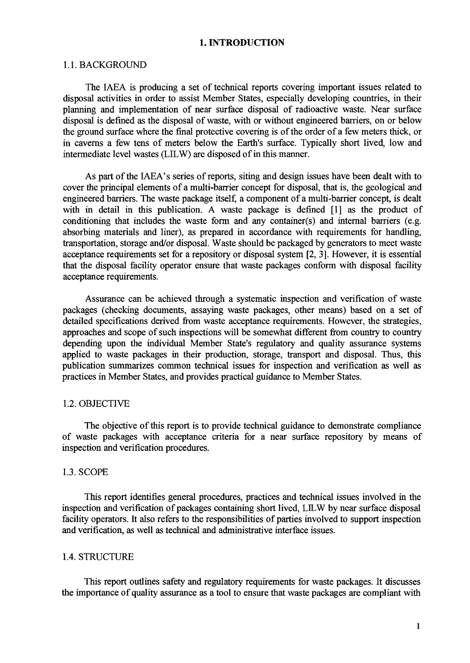#### **1. INTRODUCTION**

#### 1.1. BACKGROUND

The IAEA is producing a set of technical reports covering important issues related to disposal activities in order to assist Member States, especially developing countries, in their planning and implementation of near surface disposal of radioactive waste. Near surface disposal is defined as the disposal of waste, with or without engineered barriers, on or below the ground surface where the final protective covering is of the order of a few meters thick, or in caverns a few tens of meters below the Earth's surface. Typically short lived, low and intermediate level wastes (LILW) are disposed of in this manner.

As part of the IAEA's series of reports, siting and design issues have been dealt with to cover the principal elements of a multi-barrier concept for disposal, that is, the geological and engineered barriers. The waste package itself, a component of a multi-barrier concept, is dealt with in detail in this publication. A waste package is defined [1] as the product of conditioning that includes the waste form and any container(s) and internal barriers (e.g. absorbing materials and liner), as prepared in accordance with requirements for handling, transportation, storage and/or disposal. Waste should be packaged by generators to meet waste acceptance requirements set for a repository or disposal system [2, 3]. However, it is essential that the disposal facility operator ensure that waste packages conform with disposal facility acceptance requirements.

Assurance can be achieved through a systematic inspection and verification of waste packages (checking documents, assaying waste packages, other means) based on a set of detailed specifications derived from waste acceptance requirements. However, the strategies, approaches and scope of such inspections will be somewhat different from country to country depending upon the individual Member State's regulatory and quality assurance systems applied to waste packages in their production, storage, transport and disposal. Thus, this publication summarizes common technical issues for inspection and verification as well as practices in Member States, and provides practical guidance to Member States.

#### 1.2. OBJECTIVE

The objective of this report is to provide technical guidance to demonstrate compliance of waste packages with acceptance criteria for a near surface repository by means of inspection and verification procedures.

#### 1.3. SCOPE

This report identifies general procedures, practices and technical issues involved in the inspection and verification of packages containing short lived, LILW by near surface disposal facility operators. It also refers to the responsibilities of parties involved to support inspection and verification, as well as technical and administrative interface issues.

#### 1.4. STRUCTURE

This report outlines safety and regulatory requirements for waste packages. It discusses the importance of quality assurance as a tool to ensure that waste packages are compliant with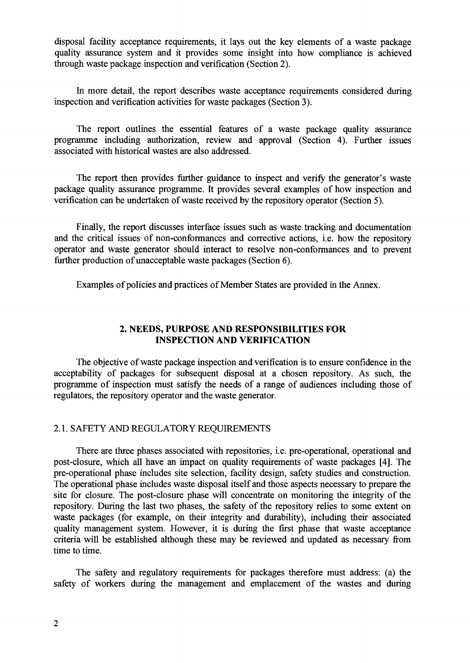disposal facility acceptance requirements, it lays out the key elements of a waste package quality assurance system and it provides some insight into how compliance is achieved through waste package inspection and verification (Section 2).

In more detail, the report describes waste acceptance requirements considered during inspection and verification activities for waste packages (Section 3).

The report outlines the essential features of a waste package quality assurance programme including authorization, review and approval (Section 4). Further issues associated with historical wastes are also addressed.

The report then provides further guidance to inspect and verify the generator's waste package quality assurance programme. It provides several examples of how inspection and verification can be undertaken of waste received by the repository operator (Section 5).

Finally, the report discusses interface issues such as waste tracking and documentation and the critical issues of non-conformances and corrective actions, i.e. how the repository operator and waste generator should interact to resolve non-conformances and to prevent further production of unacceptable waste packages (Section 6).

Examples of policies and practices of Member States are provided in the Annex.

#### **2. NEEDS, PURPOSE AND RESPONSIBILITIES FOR INSPECTION AND VERIFICATION**

The objective of waste package inspection and verification is to ensure confidence in the acceptability of packages for subsequent disposal at a chosen repository. As such, the programme of inspection must satisfy the needs of a range of audiences including those of regulators, the repository operator and the waste generator.

#### 2.1. SAFETY AND REGULATORY REQUIREMENTS

There are three phases associated with repositories, i.e. pre-operational, operational and post-closure, which all have an impact on quality requirements of waste packages [4]. The pre-operational phase includes site selection, facility design, safety studies and construction. The operational phase includes waste disposal itself and those aspects necessary to prepare the site for closure. The post-closure phase will concentrate on monitoring the integrity of the repository. During the last two phases, the safety of the repository relies to some extent on waste packages (for example, on their integrity and durability), including their associated quality management system. However, it is during the first phase that waste acceptance criteria will be established although these may be reviewed and updated as necessary from time to time.

The safety and regulatory requirements for packages therefore must address: (a) the safety of workers during the management and emplacement of the wastes and during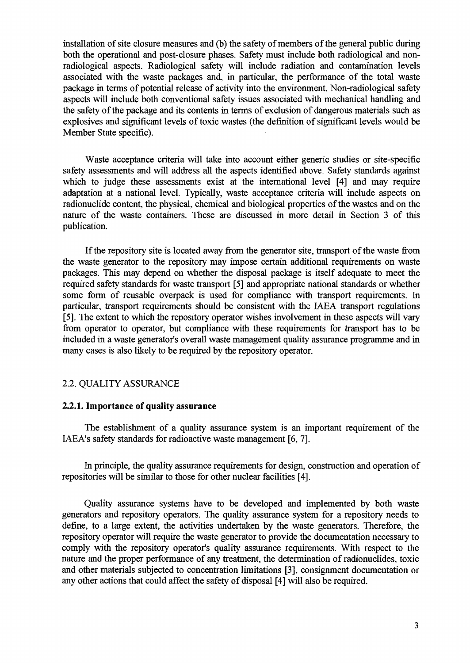installation of site closure measures and (b) the safety of members of the general public during both the operational and post-closure phases. Safety must include both radiological and nonradiological aspects. Radiological safety will include radiation and contamination levels associated with the waste packages and, in particular, the performance of the total waste package in terms of potential release of activity into the environment. Non-radiological safety aspects will include both conventional safety issues associated with mechanical handling and the safety of the package and its contents in terms of exclusion of dangerous materials such as explosives and significant levels of toxic wastes (the definition of significant levels would be Member State specific).

Waste acceptance criteria will take into account either generic studies or site-specific safety assessments and will address all the aspects identified above. Safety standards against which to judge these assessments exist at the international level [4] and may require adaptation at a national level. Typically, waste acceptance criteria will include aspects on radionuclide content, the physical, chemical and biological properties of the wastes and on the nature of the waste containers. These are discussed in more detail in Section 3 of this publication.

If the repository site is located away from the generator site, transport of the waste from the waste generator to the repository may impose certain additional requirements on waste packages. This may depend on whether the disposal package is itself adequate to meet the required safety standards for waste transport [5] and appropriate national standards or whether some form of reusable overpack is used for compliance with transport requirements. In particular, transport requirements should be consistent with the IAEA transport regulations [5]. The extent to which the repository operator wishes involvement in these aspects will vary from operator to operator, but compliance with these requirements for transport has to be included in a waste generator's overall waste management quality assurance programme and in many cases is also likely to be required by the repository operator.

#### 2.2. QUALITY ASSURANCE

#### **2.2.1. Importance of quality assurance**

The establishment of a quality assurance system is an important requirement of the IAEA's safety standards for radioactive waste management [6, 7].

In principle, the quality assurance requirements for design, construction and operation of repositories will be similar to those for other nuclear facilities [4].

Quality assurance systems have to be developed and implemented by both waste generators and repository operators. The quality assurance system for a repository needs to define, to a large extent, the activities undertaken by the waste generators. Therefore, the repository operator will require the waste generator to provide the documentation necessary to comply with the repository operator's quality assurance requirements. With respect to the nature and the proper performance of any treatment, the determination of radionuclides, toxic and other materials subjected to concentration limitations [3], consignment documentation or any other actions that could affect the safety of disposal [4] will also be required.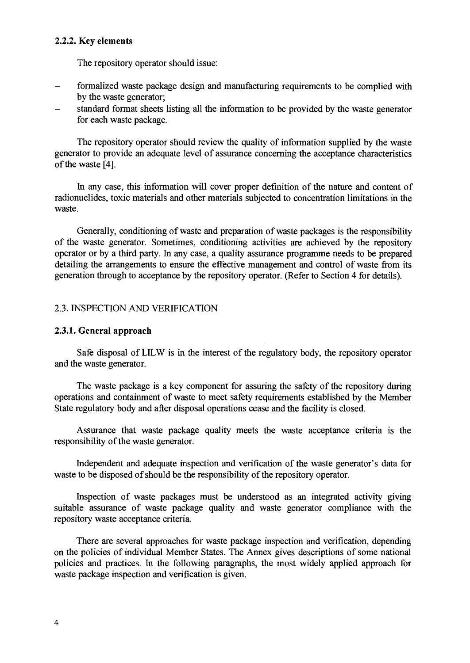#### 2.2.2. Key elements

The repository operator should issue:

- formalized waste package design and manufacturing requirements to be complied with by the waste generator;
- standard format sheets listing all the information to be provided by the waste generator for each waste package.

The repository operator should review the quality of information supplied by the waste generator to provide an adequate level of assurance concerning the acceptance characteristics of the waste [4].

In any case, this information will cover proper definition of the nature and content of radionuclides, toxic materials and other materials subjected to concentration limitations in the waste.

Generally, conditioning of waste and preparation of waste packages is the responsibility of the waste generator. Sometimes, conditioning activities are achieved by the repository operator or by a third party. In any case, a quality assurance programme needs to be prepared detailing the arrangements to ensure the effective management and control of waste from its generation through to acceptance by the repository operator. (Refer to Section 4 for details).

#### 2.3. INSPECTION AND VERIFICATION

#### **2.3.1. General approach**

Safe disposal of LILW is in the interest of the regulatory body, the repository operator and the waste generator.

The waste package is a key component for assuring the safety of the repository during operations and containment of waste to meet safety requirements established by the Member State regulatory body and after disposal operations cease and the facility is closed.

Assurance that waste package quality meets the waste acceptance criteria is the responsibility of the waste generator.

Independent and adequate inspection and verification of the waste generator's data for waste to be disposed of should be the responsibility of the repository operator.

Inspection of waste packages must be understood as an integrated activity giving suitable assurance of waste package quality and waste generator compliance with the repository waste acceptance criteria.

There are several approaches for waste package inspection and verification, depending on the policies of individual Member States. The Annex gives descriptions of some national policies and practices. In the following paragraphs, the most widely applied approach for waste package inspection and verification is given.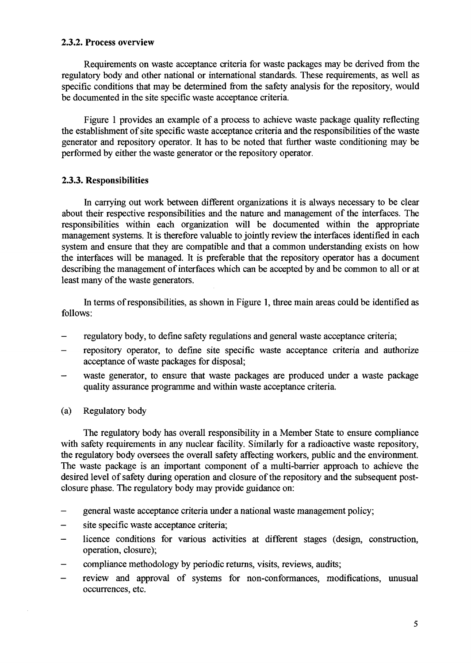#### **2.3.2. Process overview**

Requirements on waste acceptance criteria for waste packages may be derived from the regulatory body and other national or international standards. These requirements, as well as specific conditions that may be determined from the safety analysis for the repository, would be documented in the site specific waste acceptance criteria.

Figure 1 provides an example of a process to achieve waste package quality reflecting the establishment of site specific waste acceptance criteria and the responsibilities of the waste generator and repository operator. It has to be noted that further waste conditioning may be performed by either the waste generator or the repository operator.

#### **2.3.3. Responsibilities**

In carrying out work between different organizations it is always necessary to be clear about their respective responsibilities and the nature and management of the interfaces. The responsibilities within each organization will be documented within the appropriate management systems. It is therefore valuable to jointly review the interfaces identified in each system and ensure that they are compatible and that a common understanding exists on how the interfaces will be managed. It is preferable that the repository operator has a document describing the management of interfaces which can be accepted by and be common to all or at least many of the waste generators.

In terms of responsibilities, as shown in Figure 1, three main areas could be identified as follows:

- regulatory body, to define safety regulations and general waste acceptance criteria;
- repository operator, to define site specific waste acceptance criteria and authorize acceptance of waste packages for disposal;
- waste generator, to ensure that waste packages are produced under a waste package quality assurance programme and within waste acceptance criteria.
- (a) Regulatory body

The regulatory body has overall responsibility in a Member State to ensure compliance with safety requirements in any nuclear facility. Similarly for a radioactive waste repository, the regulatory body oversees the overall safety affecting workers, public and the environment. The waste package is an important component of a multi-barrier approach to achieve the desired level of safety during operation and closure of the repository and the subsequent postclosure phase. The regulatory body may provide guidance on:

- general waste acceptance criteria under a national waste management policy;
- site specific waste acceptance criteria;
- licence conditions for various activities at different stages (design, construction, operation, closure);
- compliance methodology by periodic returns, visits, reviews, audits;
- review and approval of systems for non-conformances, modifications, unusual occurrences, etc.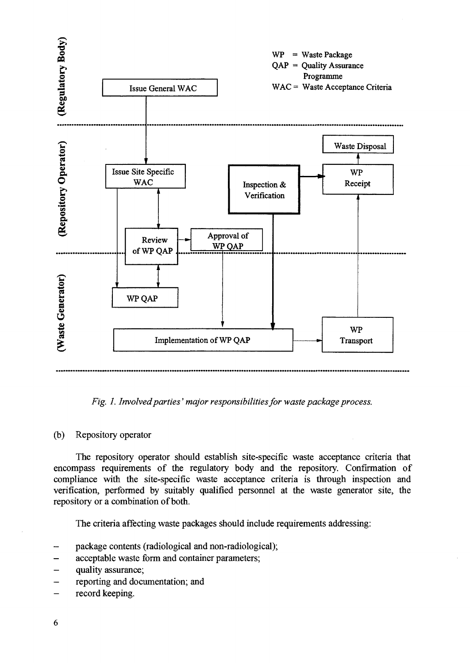

*Fig. 1. Involved parties' major responsibilities for waste package process.*

#### (b) Repository operator

The repository operator should establish site-specific waste acceptance criteria that encompass requirements of the regulatory body and the repository. Confirmation of compliance with the site-specific waste acceptance criteria is through inspection and verification, performed by suitably qualified personnel at the waste generator site, the repository or a combination of both.

The criteria affecting waste packages should include requirements addressing:

- package contents (radiological and non-radiological);
- acceptable waste form and container parameters;
- quality assurance;
- reporting and documentation; and
- record keeping.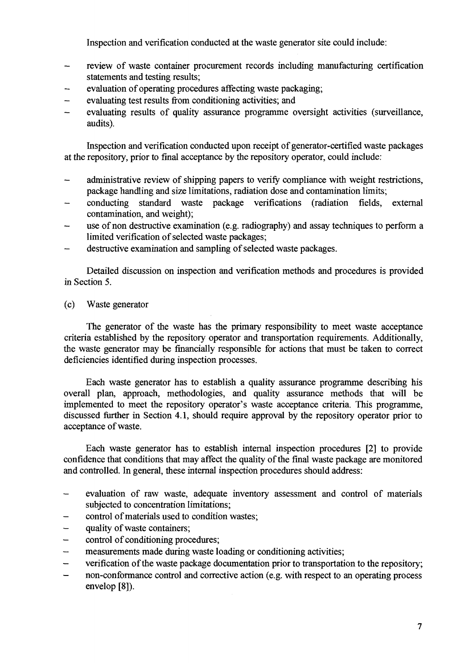Inspection and verification conducted at the waste generator site could include:

- review of waste container procurement records including manufacturing certification statements and testing results;
- evaluation of operating procedures affecting waste packaging;
- evaluating test results from conditioning activities; and
- evaluating results of quality assurance programme oversight activities (surveillance, audits).

Inspection and verification conducted upon receipt of generator-certified waste packages at the repository, prior to final acceptance by the repository operator, could include:

- administrative review of shipping papers to verify compliance with weight restrictions, package handling and size limitations, radiation dose and contamination limits;
- conducting standard waste package verifications (radiation fields, external contamination, and weight);
- use of non destructive examination (e.g. radiography) and assay techniques to perform a limited verification of selected waste packages;
- destructive examination and sampling of selected waste packages.

Detailed discussion on inspection and verification methods and procedures is provided in Section 5.

(c) Waste generator

The generator of the waste has the primary responsibility to meet waste acceptance criteria established by the repository operator and transportation requirements. Additionally, the waste generator may be financially responsible for actions that must be taken to correct deficiencies identified during inspection processes.

Each waste generator has to establish a quality assurance programme describing his overall plan, approach, methodologies, and quality assurance methods that will be implemented to meet the repository operator's waste acceptance criteria. This programme, discussed further in Section 4.1, should require approval by the repository operator prior to acceptance of waste.

Each waste generator has to establish internal inspection procedures [2] to provide confidence that conditions that may affect the quality of the final waste package are monitored and controlled. In general, these internal inspection procedures should address:

- evaluation of raw waste, adequate inventory assessment and control of materials subjected to concentration limitations;
- control of materials used to condition wastes;
- quality of waste containers;
- control of conditioning procedures;
- measurements made during waste loading or conditioning activities;
- verification of the waste package documentation prior to transportation to the repository;
- non-conformance control and corrective action (e.g. with respect to an operating process envelop [8]).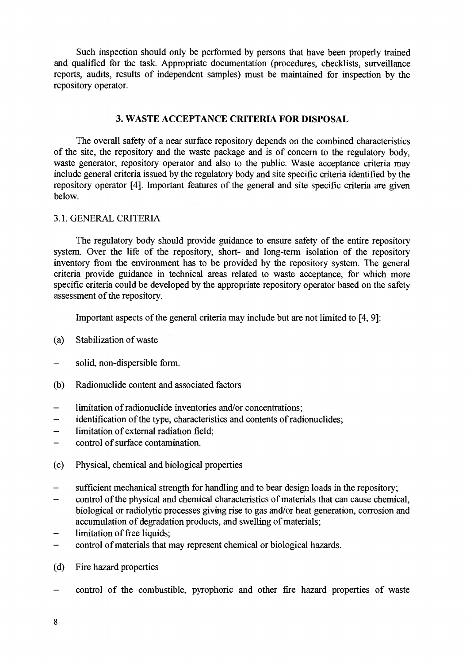Such inspection should only be performed by persons that have been properly trained and qualified for the task. Appropriate documentation (procedures, checklists, surveillance reports, audits, results of independent samples) must be maintained for inspection by the repository operator.

#### **3. WASTE ACCEPTANCE CRITERIA FOR DISPOSAL**

The overall safety of a near surface repository depends on the combined characteristics of the site, the repository and the waste package and is of concern to the regulatory body, waste generator, repository operator and also to the public. Waste acceptance criteria may include general criteria issued by the regulatory body and site specific criteria identified by the repository operator [4]. Important features of the general and site specific criteria are given below.

#### 3.1. GENERAL CRITERIA

The regulatory body should provide guidance to ensure safety of the entire repository system. Over the life of the repository, short- and long-term isolation of the repository inventory from the environment has to be provided by the repository system. The general criteria provide guidance in technical areas related to waste acceptance, for which more specific criteria could be developed by the appropriate repository operator based on the safety assessment of the repository.

Important aspects of the general criteria may include but are not limited to [4, 9]:

- (a) Stabilization of waste
- solid, non-dispersible form.
- (b) Radionuclide content and associated factors
- limitation of radionuclide inventories and/or concentrations;
- identification of the type, characteristics and contents of radionuclides;
- limitation of external radiation field;
- control of surface contamination.
- (c) Physical, chemical and biological properties
- sufficient mechanical strength for handling and to bear design loads in the repository;
- control of the physical and chemical characteristics of materials that can cause chemical, biological or radiolytic processes giving rise to gas and/or heat generation, corrosion and accumulation of degradation products, and swelling of materials;
- limitation of free liquids;
- control of materials that may represent chemical or biological hazards.
- (d) Fire hazard properties
- control of the combustible, pyrophoric and other fire hazard properties of waste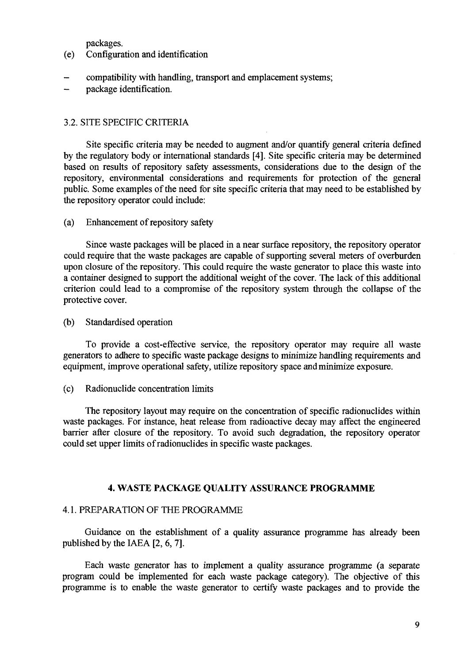packages,

- (e) Configuration and identification
- compatibility with handling, transport and emplacement systems;
- package identification.

#### 3.2. SITE SPECIFIC CRITERIA

Site specific criteria may be needed to augment and/or quantify general criteria defined by the regulatory body or international standards [4]. Site specific criteria may be determined based on results of repository safety assessments, considerations due to the design of the repository, environmental considerations and requirements for protection of the general public. Some examples of the need for site specific criteria that may need to be established by the repository operator could include:

(a) Enhancement of repository safety

Since waste packages will be placed in a near surface repository, the repository operator could require that the waste packages are capable of supporting several meters of overburden upon closure of the repository. This could require the waste generator to place this waste into a container designed to support the additional weight of the cover. The lack of this additional criterion could lead to a compromise of the repository system through the collapse of the protective cover.

(b) Standardised operation

To provide a cost-effective service, the repository operator may require all waste generators to adhere to specific waste package designs to minimize handling requirements and equipment, improve operational safety, utilize repository space and minimize exposure.

(c) Radionuclide concentration limits

The repository layout may require on the concentration of specific radionuclides within waste packages. For instance, heat release from radioactive decay may affect the engineered barrier after closure of the repository. To avoid such degradation, the repository operator could set upper limits of radionuclides in specific waste packages.

#### **4. WASTE PACKAGE QUALITY ASSURANCE PROGRAMME**

#### 4.1. PREPARATION OF THE PROGRAMME

Guidance on the establishment of a quality assurance programme has already been published by the IAEA [2, 6, 7].

Each waste generator has to implement a quality assurance programme (a separate program could be implemented for each waste package category). The objective of this programme is to enable the waste generator to certify waste packages and to provide the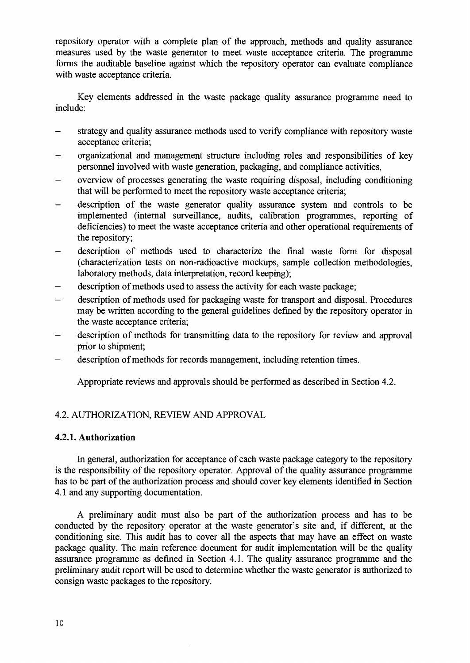repository operator with a complete plan of the approach, methods and quality assurance measures used by the waste generator to meet waste acceptance criteria. The programme forms the auditable baseline against which the repository operator can evaluate compliance with waste acceptance criteria.

Key elements addressed in the waste package quality assurance programme need to include:

- strategy and quality assurance methods used to verify compliance with repository waste acceptance criteria;
- organizational and management structure including roles and responsibilities of key personnel involved with waste generation, packaging, and compliance activities,
- overview of processes generating the waste requiring disposal, including conditioning that will be performed to meet the repository waste acceptance criteria;
- description of the waste generator quality assurance system and controls to be implemented (internal surveillance, audits, calibration programmes, reporting of deficiencies) to meet the waste acceptance criteria and other operational requirements of the repository;
- description of methods used to characterize the final waste form for disposal (characterization tests on non-radioactive mockups, sample collection methodologies, laboratory methods, data interpretation, record keeping);
- description of methods used to assess the activity for each waste package;
- description of methods used for packaging waste for transport and disposal. Procedures may be written according to the general guidelines defined by the repository operator in the waste acceptance criteria;
- description of methods for transmitting data to the repository for review and approval prior to shipment;
- description of methods for records management, including retention times.

Appropriate reviews and approvals should be performed as described in Section 4.2.

#### 4.2. AUTHORIZATION, REVIEW AND APPROVAL

#### **4.2.1. Authorization**

In general, authorization for acceptance of each waste package category to the repository is the responsibility of the repository operator. Approval of the quality assurance programme has to be part of the authorization process and should cover key elements identified in Section 4.1 and any supporting documentation.

A preliminary audit must also be part of the authorization process and has to be conducted by the repository operator at the waste generator's site and, if different, at the conditioning site. This audit has to cover all the aspects that may have an effect on waste package quality. The main reference document for audit implementation will be the quality assurance programme as defined in Section 4.1. The quality assurance programme and the preliminary audit report will be used to determine whether the waste generator is authorized to consign waste packages to the repository.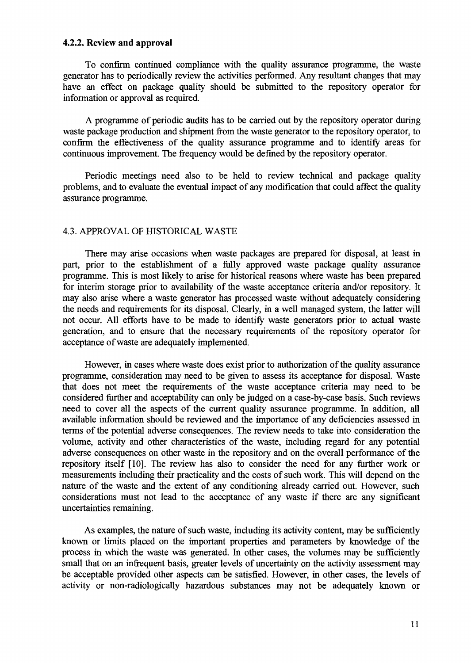#### **4.2.2. Review and approval**

To confirm continued compliance with the quality assurance programme, the waste generator has to periodically review the activities performed. Any resultant changes that may have an effect on package quality should be submitted to the repository operator for information or approval as required.

A programme of periodic audits has to be carried out by the repository operator during waste package production and shipment from the waste generator to the repository operator, to confirm the effectiveness of the quality assurance programme and to identify areas for continuous improvement. The frequency would be defined by the repository operator.

Periodic meetings need also to be held to review technical and package quality problems, and to evaluate the eventual impact of any modification that could affect the quality assurance programme.

#### 4.3. APPROVAL OF HISTORICAL WASTE

There may arise occasions when waste packages are prepared for disposal, at least in part, prior to the establishment of a fully approved waste package quality assurance programme. This is most likely to arise for historical reasons where waste has been prepared for interim storage prior to availability of the waste acceptance criteria and/or repository. It may also arise where a waste generator has processed waste without adequately considering the needs and requirements for its disposal. Clearly, in a well managed system, the latter will not occur. All efforts have to be made to identify waste generators prior to actual waste generation, and to ensure that the necessary requirements of the repository operator for acceptance of waste are adequately implemented.

However, in cases where waste does exist prior to authorization of the quality assurance programme, consideration may need to be given to assess its acceptance for disposal. Waste that does not meet the requirements of the waste acceptance criteria may need to be considered further and acceptability can only be judged on a case-by-case basis. Such reviews need to cover all the aspects of the current quality assurance programme. In addition, all available information should be reviewed and the importance of any deficiencies assessed in terms of the potential adverse consequences. The review needs to take into consideration the volume, activity and other characteristics of the waste, including regard for any potential adverse consequences on other waste in the repository and on the overall performance of the repository itself [10]. The review has also to consider the need for any further work or measurements including their practicality and the costs of such work. This will depend on the nature of the waste and the extent of any conditioning already carried out. However, such considerations must not lead to the acceptance of any waste if there are any significant uncertainties remaining.

As examples, the nature of such waste, including its activity content, may be sufficiently known or limits placed on the important properties and parameters by knowledge of the process in which the waste was generated. In other cases, the volumes may be sufficiently small that on an infrequent basis, greater levels of uncertainty on the activity assessment may be acceptable provided other aspects can be satisfied. However, in other cases, the levels of activity or non-radiologically hazardous substances may not be adequately known or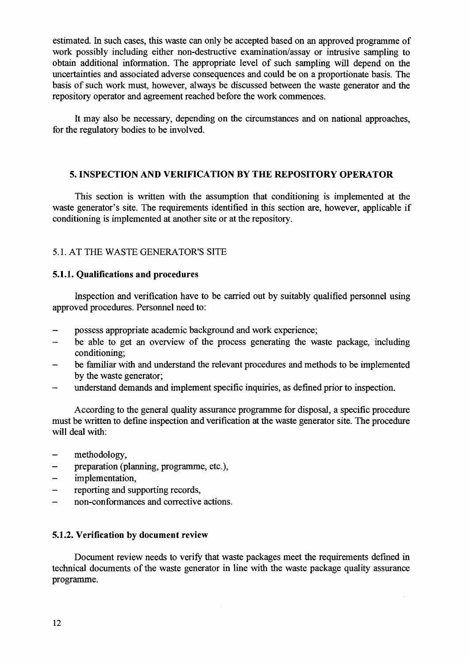estimated. In such cases, this waste can only be accepted based on an approved programme of work possibly including either non-destructive examination/assay or intrusive sampling to obtain additional information. The appropriate level of such sampling will depend on the uncertainties and associated adverse consequences and could be on a proportionate basis. The basis of such work must, however, always be discussed between the waste generator and the repository operator and agreement reached before the work commences.

It may also be necessary, depending on the circumstances and on national approaches, for the regulatory bodies to be involved.

#### **5. INSPECTION AND VERIFICATION BY THE REPOSITORY OPERATOR**

This section is written with the assumption that conditioning is implemented at the waste generator's site. The requirements identified in this section are, however, applicable if conditioning is implemented at another site or at the repository.

#### 5.1. AT THE WASTE GENERATOR'S SITE

#### **5.1.1. Qualifications and procedures**

Inspection and verification have to be carried out by suitably qualified personnel using approved procedures. Personnel need to:

- possess appropriate academic background and work experience;
- be able to get an overview of the process generating the waste package, including conditioning;
- be familiar with and understand the relevant procedures and methods to be implemented by the waste generator;
- understand demands and implement specific inquiries, as defined prior to inspection.

According to the general quality assurance programme for disposal, a specific procedure must be written to define inspection and verification at the waste generator site. The procedure will deal with:

- methodology,
- preparation (planning, programme, etc.),
- implementation,
- reporting and supporting records,
- non-conformances and corrective actions.

#### **5.1.2. Verification by document review**

Document review needs to verify that waste packages meet the requirements defined in technical documents of the waste generator in line with the waste package quality assurance programme.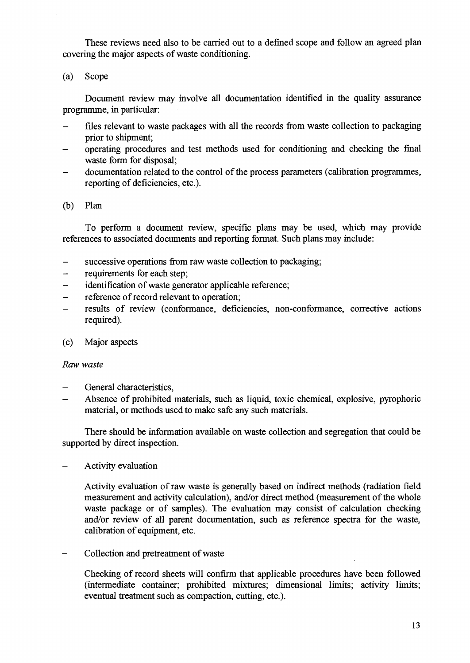These reviews need also to be carried out to a defined scope and follow an agreed plan covering the major aspects of waste conditioning.

(a) Scope

Document review may involve all documentation identified in the quality assurance programme, in particular:

- files relevant to waste packages with all the records from waste collection to packaging prior to shipment;
- operating procedures and test methods used for conditioning and checking the final waste form for disposal;
- documentation related to the control of the process parameters (calibration programmes, reporting of deficiencies, etc.).
- (b) Plan

To perform a document review, specific plans may be used, which may provide references to associated documents and reporting format. Such plans may include:

- successive operations from raw waste collection to packaging;
- requirements for each step:
- identification of waste generator applicable reference;
- reference of record relevant to operation;
- results of review (conformance, deficiencies, non-conformance, corrective actions required).
- (c) Major aspects

#### *Raw waste*

- *-* General characteristics,
- Absence of prohibited materials, such as liquid, toxic chemical, explosive, pyrophoric material, or methods used to make safe any such materials.

There should be information available on waste collection and segregation that could be supported by direct inspection.

- Activity evaluation

Activity evaluation of raw waste is generally based on indirect methods (radiation field measurement and activity calculation), and/or direct method (measurement of the whole waste package or of samples). The evaluation may consist of calculation checking and/or review of all parent documentation, such as reference spectra for the waste, calibration of equipment, etc.

- Collection and pretreatment of waste

Checking of record sheets will confirm that applicable procedures have been followed (intermediate container; prohibited mixtures; dimensional limits; activity limits; eventual treatment such as compaction, cutting, etc.).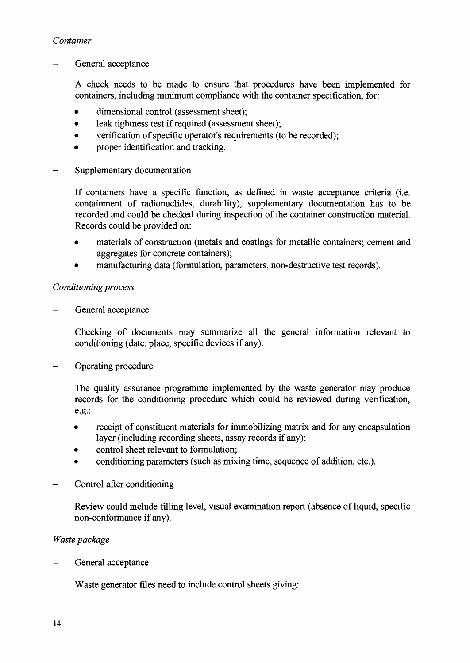### *Container*

*-* General acceptance

A check needs to be made to ensure that procedures have been implemented for containers, including minimum compliance with the container specification, for:

- dimensional control (assessment sheet);
- leak tightness test if required (assessment sheet);
- verification of specific operator's requirements (to be recorded):
- proper identification and tracking.
- Supplementary documentation

If containers have a specific function, as defined in waste acceptance criteria (i.e. containment of radionuclides, durability), supplementary documentation has to be recorded and could be checked during inspection of the container construction material. Records could be provided on:

- materials of construction (metals and coatings for metallic containers; cement and aggregates for concrete containers);
- manufacturing data (formulation, parameters, non-destructive test records).

#### *Conditioning process*

*-* General acceptance

Checking of documents may summarize all the general information relevant to conditioning (date, place, specific devices if any).

- Operating procedure

The quality assurance programme implemented by the waste generator may produce records for the conditioning procedure which could be reviewed during verification, e.g.:

- receipt of constituent materials for immobilizing matrix and for any encapsulation layer (including recording sheets, assay records if any);
- control sheet relevant to formulation;
- conditioning parameters (such as mixing time, sequence of addition, etc.).
- Control after conditioning

Review could include filling level, visual examination report (absence of liquid, specific non-conformance if any).

#### *Waste package*

General acceptance

Waste generator files need to include control sheets giving: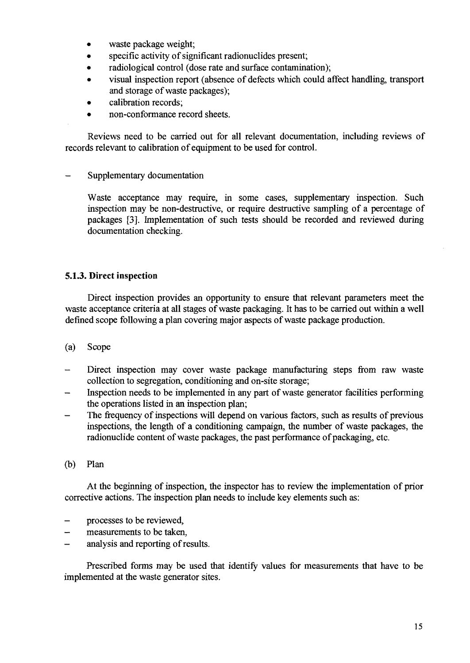- waste package weight;
- specific activity of significant radionuclides present;
- radiological control (dose rate and surface contamination);
- visual inspection report (absence of defects which could affect handling, transport and storage of waste packages);
- calibration records:
- non-conformance record sheets.

Reviews need to be carried out for all relevant documentation, including reviews of records relevant to calibration of equipment to be used for control.

Supplementary documentation

Waste acceptance may require, in some cases, supplementary inspection. Such inspection may be non-destructive, or require destructive sampling of a percentage of packages [3]. Implementation of such tests should be recorded and reviewed during documentation checking.

# 5.1.3. Direct inspection

Direct inspection provides an opportunity to ensure that relevant parameters meet the waste acceptance criteria at all stages of waste packaging. It has to be carried out within a well defined scope following a plan covering major aspects of waste package production.

- (a) Scope
- Direct inspection may cover waste package manufacturing steps from raw waste collection to segregation, conditioning and on-site storage;
- Inspection needs to be implemented in any part of waste generator facilities performing the operations listed in an inspection plan;
- The frequency of inspections will depend on various factors, such as results of previous inspections, the length of a conditioning campaign, the number of waste packages, the radionuclide content of waste packages, the past performance of packaging, etc.
- (b) Plan

At the beginning of inspection, the inspector has to review the implementation of prior corrective actions. The inspection plan needs to include key elements such as:

- processes to be reviewed,
- measurements to be taken.
- analysis and reporting of results.

Prescribed forms may be used that identify values for measurements that have to be implemented at the waste generator sites.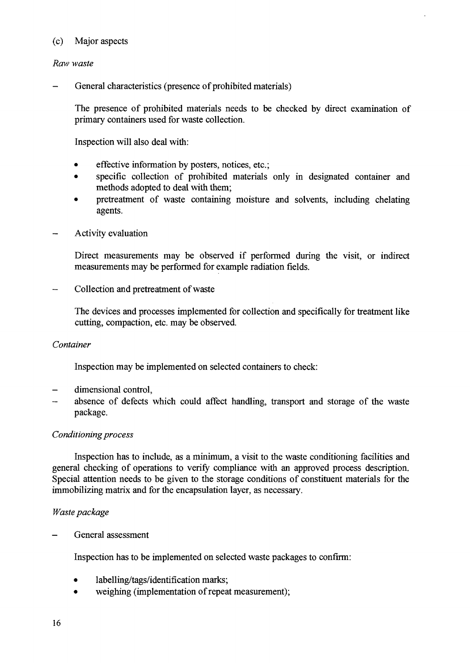#### (c) Major aspects

#### *Raw waste*

General characteristics (presence of prohibited materials)

The presence of prohibited materials needs to be checked by direct examination of primary containers used for waste collection.

Inspection will also deal with:

- effective information by posters, notices, etc.;
- specific collection of prohibited materials only in designated container and methods adopted to deal with them;
- pretreatment of waste containing moisture and solvents, including chelating agents.
- Activity evaluation

Direct measurements may be observed if performed during the visit, or indirect measurements may be performed for example radiation fields.

- Collection and pretreatment of waste

The devices and processes implemented for collection and specifically for treatment like cutting, compaction, etc. may be observed.

#### *Container*

Inspection may be implemented on selected containers to check:

- dimensional control,
- absence of defects which could affect handling, transport and storage of the waste package.

#### *Conditioning process*

Inspection has to include, as a minimum, a visit to the waste conditioning facilities and general checking of operations to verify compliance with an approved process description. Special attention needs to be given to the storage conditions of constituent materials for the immobilizing matrix and for the encapsulation layer, as necessary.

#### *Waste package*

General assessment

Inspection has to be implemented on selected waste packages to confirm:

- labelling/tags/identification marks;
- weighing (implementation of repeat measurement);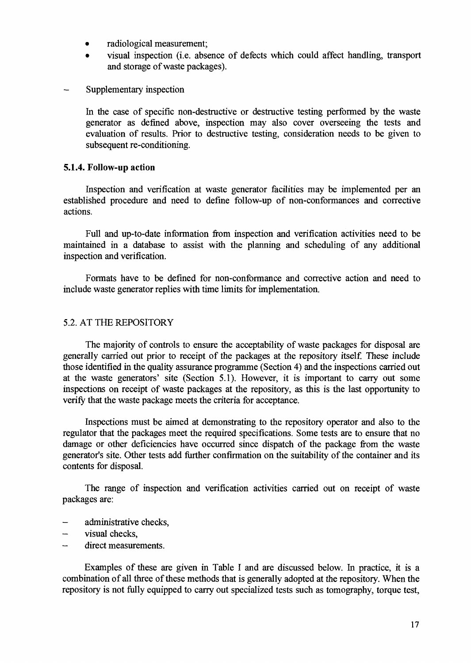- radiological measurement;
- visual inspection (i.e. absence of defects which could affect handling, transport and storage of waste packages).
- Supplementary inspection

In the case of specific non-destructive or destructive testing performed by the waste generator as defined above, inspection may also cover overseeing the tests and evaluation of results. Prior to destructive testing, consideration needs to be given to subsequent re-conditioning.

#### **5.1.4. Follow-up action**

Inspection and verification at waste generator facilities may be implemented per an established procedure and need to define follow-up of non-conformances and corrective actions.

Full and up-to-date information from inspection and verification activities need to be maintained in a database to assist with the planning and scheduling of any additional inspection and verification.

Formats have to be defined for non-conformance and corrective action and need to include waste generator replies with time limits for implementation.

#### 5.2. AT THE REPOSITORY

The majority of controls to ensure the acceptability of waste packages for disposal are generally carried out prior to receipt of the packages at the repository itself. These include those identified in the quality assurance programme (Section 4) and the inspections carried out at the waste generators' site (Section 5.1). However, it is important to carry out some inspections on receipt of waste packages at the repository, as this is the last opportunity to verify that the waste package meets the criteria for acceptance.

Inspections must be aimed at demonstrating to the repository operator and also to the regulator that the packages meet the required specifications. Some tests are to ensure that no damage or other deficiencies have occurred since dispatch of the package from the waste generator's site. Other tests add further confirmation on the suitability of the container and its contents for disposal.

The range of inspection and verification activities carried out on receipt of waste packages are:

- administrative checks,
- visual checks,
- direct measurements.

Examples of these are given in Table I and are discussed below. In practice, it is a combination of all three of these methods that is generally adopted at the repository. When the repository is not fully equipped to carry out specialized tests such as tomography, torque test,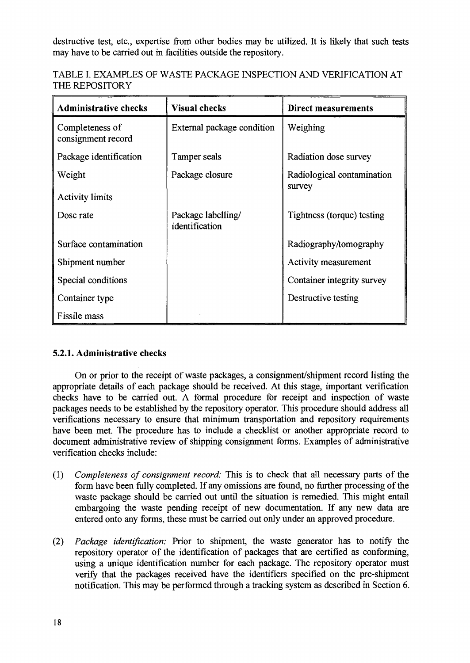destructive test, etc., expertise from other bodies may be utilized. It is likely that such tests may have to be carried out in facilities outside the repository.

| TABLE I. EXAMPLES OF WASTE PACKAGE INSPECTION AND VERIFICATION AT |  |
|-------------------------------------------------------------------|--|
| THE REPOSITORY                                                    |  |

| <b>Administrative checks</b>          | <b>Visual checks</b>                 | Direct measurements                  |
|---------------------------------------|--------------------------------------|--------------------------------------|
| Completeness of<br>consignment record | External package condition           | Weighing                             |
| Package identification                | Tamper seals                         | Radiation dose survey                |
| Weight                                | Package closure                      | Radiological contamination<br>survey |
| <b>Activity limits</b>                |                                      |                                      |
| Dose rate                             | Package labelling/<br>identification | Tightness (torque) testing           |
| Surface contamination                 |                                      | Radiography/tomography               |
| Shipment number                       |                                      | Activity measurement                 |
| Special conditions                    |                                      | Container integrity survey           |
| Container type                        |                                      | Destructive testing                  |
| Fissile mass                          |                                      |                                      |

# **5.2.1. Administrative checks**

On or prior to the receipt of waste packages, a consignment/shipment record listing the appropriate details of each package should be received. At this stage, important verification checks have to be carried out. A formal procedure for receipt and inspection of waste packages needs to be established by the repository operator. This procedure should address all verifications necessary to ensure that minimum transportation and repository requirements have been met. The procedure has to include a checklist or another appropriate record to document administrative review of shipping consignment forms. Examples of administrative verification checks include:

- (1) *Completeness of consignment record:* This is to check that all necessary parts of the form have been fully completed. If any omissions are found, no further processing of the waste package should be carried out until the situation is remedied. This might entail embargoing the waste pending receipt of new documentation. If any new data are entered onto any forms, these must be carried out only under an approved procedure.
- (2) *Package identification:* Prior to shipment, the waste generator has to notify the repository operator of the identification of packages that are certified as conforming, using a unique identification number for each package. The repository operator must verify that the packages received have the identifiers specified on the pre-shipment notification. This may be performed through a tracking system as described in Section 6.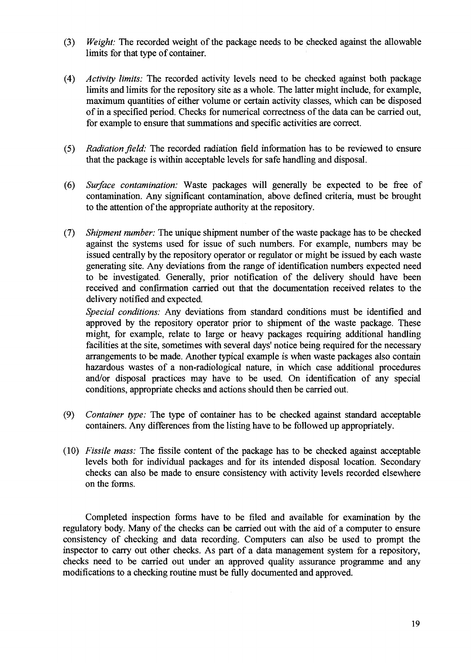- (3) *Weight:* The recorded weight of the package needs to be checked against the allowable limits for that type of container.
- (4) *Activity limits:* The recorded activity levels need to be checked against both package limits and limits for the repository site as a whole. The latter might include, for example, maximum quantities of either volume or certain activity classes, which can be disposed of in a specified period. Checks for numerical correctness of the data can be carried out, for example to ensure that summations and specific activities are correct.
- (5) *Radiation field:* The recorded radiation field information has to be reviewed to ensure that the package is within acceptable levels for safe handling and disposal.
- (6) *Surface contamination:* Waste packages will generally be expected to be free of contamination. Any significant contamination, above defined criteria, must be brought to the attention of the appropriate authority at the repository.
- (7) *Shipment number:* The unique shipment number of the waste package has to be checked against the systems used for issue of such numbers. For example, numbers may be issued centrally by the repository operator or regulator or might be issued by each waste generating site. Any deviations from the range of identification numbers expected need to be investigated. Generally, prior notification of the delivery should have been received and confirmation carried out that the documentation received relates to the delivery notified and expected.

*Special conditions:* Any deviations from standard conditions must be identified and approved by the repository operator prior to shipment of the waste package. These might, for example, relate to large or heavy packages requiring additional handling facilities at the site, sometimes with several days' notice being required for the necessary arrangements to be made. Another typical example is when waste packages also contain hazardous wastes of a non-radiological nature, in which case additional procedures and/or disposal practices may have to be used. On identification of any special conditions, appropriate checks and actions should then be carried out.

- (9) *Container type:* The type of container has to be checked against standard acceptable containers. Any differences from the listing have to be followed up appropriately.
- (10) *Fissile mass:* The fissile content of the package has to be checked against acceptable levels both for individual packages and for its intended disposal location. Secondary checks can also be made to ensure consistency with activity levels recorded elsewhere on the forms.

Completed inspection forms have to be filed and available for examination by the regulatory body. Many of the checks can be carried out with the aid of a computer to ensure consistency of checking and data recording. Computers can also be used to prompt the inspector to carry out other checks. As part of a data management system for a repository, checks need to be carried out under an approved quality assurance programme and any modifications to a checking routine must be fully documented and approved.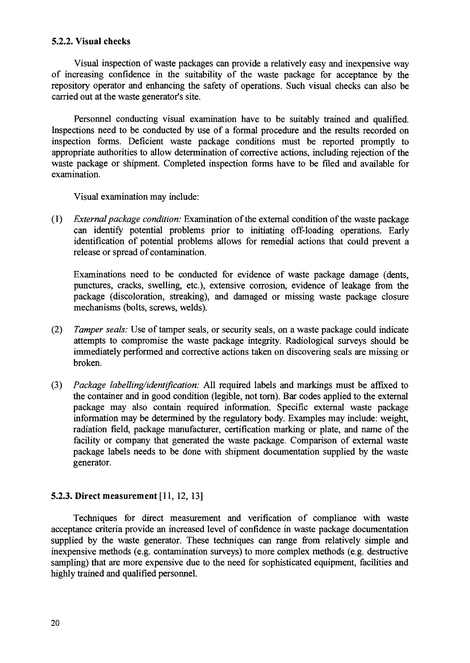#### **5.2.2. Visual checks**

Visual inspection of waste packages can provide a relatively easy and inexpensive way of increasing confidence in the suitability of the waste package for acceptance by the repository operator and enhancing the safety of operations. Such visual checks can also be carried out at the waste generator's site.

Personnel conducting visual examination have to be suitably trained and qualified. Inspections need to be conducted by use of a formal procedure and the results recorded on inspection forms. Deficient waste package conditions must be reported promptly to appropriate authorities to allow determination of corrective actions, including rejection of the waste package or shipment. Completed inspection forms have to be filed and available for examination.

Visual examination may include:

(1) *External package condition:* Examination of the external condition of the waste package can identify potential problems prior to initiating off-loading operations. Early identification of potential problems allows for remedial actions that could prevent a release or spread of contamination.

Examinations need to be conducted for evidence of waste package damage (dents, punctures, cracks, swelling, etc.), extensive corrosion, evidence of leakage from the package (discoloration, streaking), and damaged or missing waste package closure mechanisms (bolts, screws, welds).

- (2) *Tamper seals:* Use of tamper seals, or security seals, on a waste package could indicate attempts to compromise the waste package integrity. Radiological surveys should be immediately performed and corrective actions taken on discovering seals are missing or broken.
- (3) *Package labelling/identification:* All required labels and markings must be affixed to the container and in good condition (legible, not torn). Bar codes applied to the external package may also contain required information. Specific external waste package information may be determined by the regulatory body. Examples may include: weight, radiation field, package manufacturer, certification marking or plate, and name of the facility or company that generated the waste package. Comparison of external waste package labels needs to be done with shipment documentation supplied by the waste generator.

#### **5.2.3. Direct measurement** [11,12, 13]

Techniques for direct measurement and verification of compliance with waste acceptance criteria provide an increased level of confidence in waste package documentation supplied by the waste generator. These techniques can range from relatively simple and inexpensive methods (e.g. contamination surveys) to more complex methods (e.g. destructive sampling) that are more expensive due to the need for sophisticated equipment, facilities and highly trained and qualified personnel.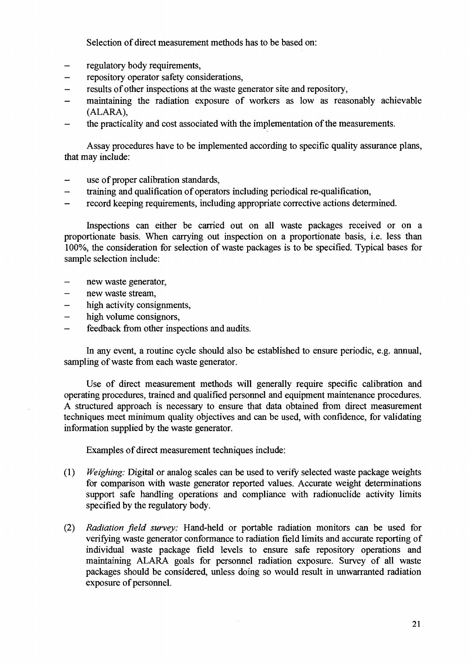Selection of direct measurement methods has to be based on:

- regulatory body requirements,
- repository operator safety considerations,
- results of other inspections at the waste generator site and repository,
- maintaining the radiation exposure of workers as low as reasonably achievable (ALARA),
- the practicality and cost associated with the implementation of the measurements.

Assay procedures have to be implemented according to specific quality assurance plans, that may include:

- $\overline{a}$ use of proper calibration standards,
- training and qualification of operators including periodical re-qualification,
- record keeping requirements, including appropriate corrective actions determined.

Inspections can either be carried out on all waste packages received or on a proportionate basis. When carrying out inspection on a proportionate basis, i.e. less than 100%, the consideration for selection of waste packages is to be specified. Typical bases for sample selection include:

- new waste generator,
- new waste stream,
- high activity consignments,
- high volume consignors,
- feedback from other inspections and audits.

In any event, a routine cycle should also be established to ensure periodic, e.g. annual, sampling of waste from each waste generator.

Use of direct measurement methods will generally require specific calibration and operating procedures, trained and qualified personnel and equipment maintenance procedures. A structured approach is necessary to ensure that data obtained from direct measurement techniques meet minimum quality objectives and can be used, with confidence, for validating information supplied by the waste generator.

Examples of direct measurement techniques include:

- (1) *Weighing:* Digital or analog scales can be used to verify selected waste package weights for comparison with waste generator reported values. Accurate weight determinations support safe handling operations and compliance with radionuclide activity limits specified by the regulatory body.
- (2) *Radiation field survey:* Hand-held or portable radiation monitors can be used for verifying waste generator conformance to radiation field limits and accurate reporting of individual waste package field levels to ensure safe repository operations and maintaining ALARA goals for personnel radiation exposure. Survey of all waste packages should be considered, unless doing so would result in unwarranted radiation exposure of personnel.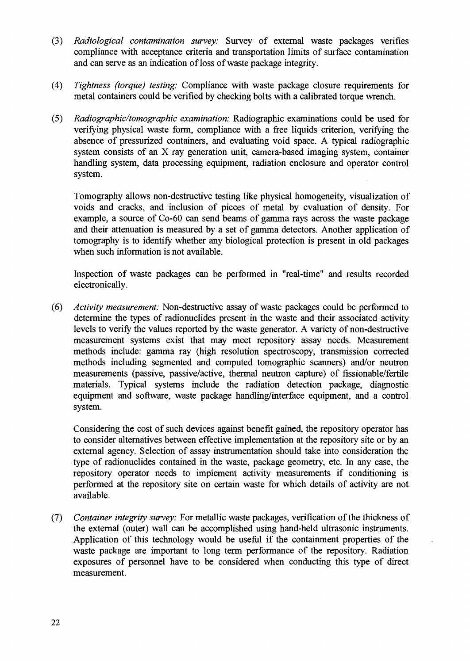- (3) *Radiological contamination survey:* Survey of external waste packages verifies compliance with acceptance criteria and transportation limits of surface contamination and can serve as an indication of loss of waste package integrity.
- (4) *Tightness (torque) testing:* Compliance with waste package closure requirements for metal containers could be verified by checking bolts with a calibrated torque wrench.
- (5) *Radiographic/tomographic examination:* Radiographic examinations could be used for verifying physical waste form, compliance with a free liquids criterion, verifying the absence of pressurized containers, and evaluating void space. A typical radiographic system consists of an X ray generation unit, camera-based imaging system, container handling system, data processing equipment, radiation enclosure and operator control system.

Tomography allows non-destructive testing like physical homogeneity, visualization of voids and cracks, and inclusion of pieces of metal by evaluation of density. For example, a source of Co-60 can send beams of gamma rays across the waste package and their attenuation is measured by a set of gamma detectors. Another application of tomography is to identify whether any biological protection is present in old packages when such information is not available.

Inspection of waste packages can be performed in "real-time" and results recorded electronically.

(6) *Activity measurement:* Non-destructive assay of waste packages could be performed to determine the types of radionuclides present in the waste and their associated activity levels to verify the values reported by the waste generator. A variety of non-destructive measurement systems exist that may meet repository assay needs. Measurement methods include: gamma ray (high resolution spectroscopy, transmission corrected methods including segmented and computed tomographic scanners) and/or neutron measurements (passive, passive/active, thermal neutron capture) of fissionable/fertile materials. Typical systems include the radiation detection package, diagnostic equipment and software, waste package handling/interface equipment, and a control system.

Considering the cost of such devices against benefit gained, the repository operator has to consider alternatives between effective implementation at the repository site or by an external agency. Selection of assay instrumentation should take into consideration the type of radionuclides contained in the waste, package geometry, etc. In any case, the repository operator needs to implement activity measurements if conditioning is performed at the repository site on certain waste for which details of activity are not available.

(7) *Container integrity survey:* For metallic waste packages, verification of the thickness of the external (outer) wall can be accomplished using hand-held ultrasonic instruments. Application of this technology would be useful if the containment properties of the waste package are important to long term performance of the repository. Radiation exposures of personnel have to be considered when conducting this type of direct measurement.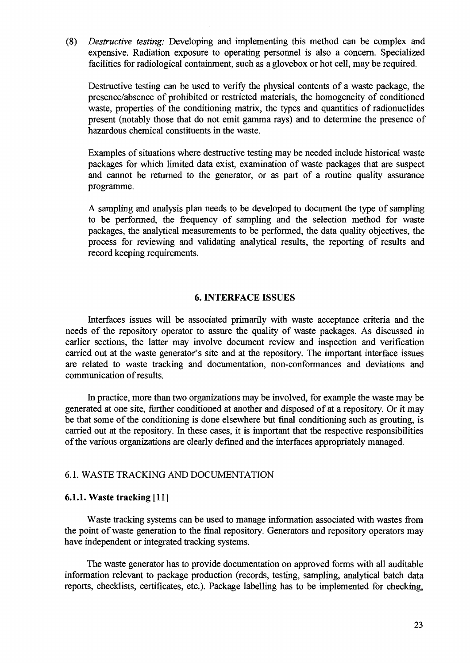(8) *Destructive testing:* Developing and implementing this method can be complex and expensive. Radiation exposure to operating personnel is also a concern. Specialized facilities for radiological containment, such as a glovebox or hot cell, may be required.

Destructive testing can be used to verify the physical contents of a waste package, the presence/absence of prohibited or restricted materials, the homogeneity of conditioned waste, properties of the conditioning matrix, the types and quantities of radionuclides present (notably those that do not emit gamma rays) and to determine the presence of hazardous chemical constituents in the waste.

Examples of situations where destructive testing may be needed include historical waste packages for which limited data exist, examination of waste packages that are suspect and cannot be returned to the generator, or as part of a routine quality assurance programme.

A sampling and analysis plan needs to be developed to document the type of sampling to be performed, the frequency of sampling and the selection method for waste packages, the analytical measurements to be performed, the data quality objectives, the process for reviewing and validating analytical results, the reporting of results and record keeping requirements.

#### **6. INTERFACE ISSUES**

Interfaces issues will be associated primarily with waste acceptance criteria and the needs of the repository operator to assure the quality of waste packages. As discussed in earlier sections, the latter may involve document review and inspection and verification carried out at the waste generator's site and at the repository. The important interface issues are related to waste tracking and documentation, non-conformances and deviations and communication of results.

In practice, more than two organizations may be involved, for example the waste may be generated at one site, further conditioned at another and disposed of at a repository. Or it may be that some of the conditioning is done elsewhere but final conditioning such as grouting, is carried out at the repository. In these cases, it is important that the respective responsibilities of the various organizations are clearly defined and the interfaces appropriately managed.

#### 6.1. WASTE TRACKING AND DOCUMENTATION

#### **6.1.1. Waste tracking** [11]

Waste tracking systems can be used to manage information associated with wastes from the point of waste generation to the final repository. Generators and repository operators may have independent or integrated tracking systems.

The waste generator has to provide documentation on approved forms with all auditable information relevant to package production (records, testing, sampling, analytical batch data reports, checklists, certificates, etc.). Package labelling has to be implemented for checking,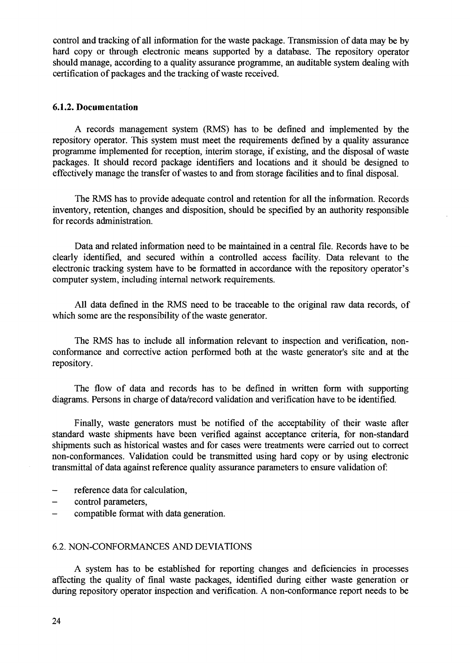control and tracking of all information for the waste package. Transmission of data may be by hard copy or through electronic means supported by a database. The repository operator should manage, according to a quality assurance programme, an auditable system dealing with certification of packages and the tracking of waste received.

#### **6.1.2. Documentation**

A records management system (RMS) has to be defined and implemented by the repository operator. This system must meet the requirements defined by a quality assurance programme implemented for reception, interim storage, if existing, and the disposal of waste packages. It should record package identifiers and locations and it should be designed to effectively manage the transfer of wastes to and from storage facilities and to final disposal.

The RMS has to provide adequate control and retention for all the information. Records inventory, retention, changes and disposition, should be specified by an authority responsible for records administration.

Data and related information need to be maintained in a central file. Records have to be clearly identified, and secured within a controlled access facility. Data relevant to the electronic tracking system have to be formatted in accordance with the repository operator's computer system, including internal network requirements.

All data defined in the RMS need to be traceable to the original raw data records, of which some are the responsibility of the waste generator.

The RMS has to include all information relevant to inspection and verification, nonconformance and corrective action performed both at the waste generator's site and at the repository.

The flow of data and records has to be defined in written form with supporting diagrams. Persons in charge of data/record validation and verification have to be identified.

Finally, waste generators must be notified of the acceptability of their waste after standard waste shipments have been verified against acceptance criteria, for non-standard shipments such as historical wastes and for cases were treatments were carried out to correct non-conformances. Validation could be transmitted using hard copy or by using electronic transmittal of data against reference quality assurance parameters to ensure validation of:

- reference data for calculation,
- control parameters,
- compatible format with data generation.

#### 6.2. NON-CONFORMANCES AND DEVIATIONS

A system has to be established for reporting changes and deficiencies in processes affecting the quality of final waste packages, identified during either waste generation or during repository operator inspection and verification. A non-conformance report needs to be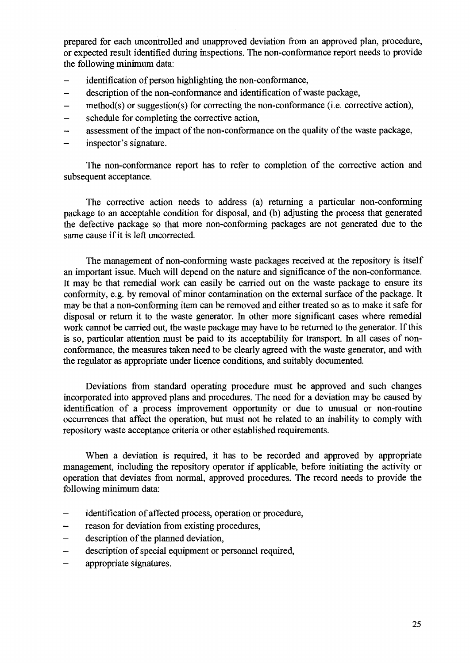prepared for each uncontrolled and unapproved deviation from an approved plan, procedure, or expected result identified during inspections. The non-conformance report needs to provide the following minimum data:

- identification of person highlighting the non-conformance,
- description of the non-conformance and identification of waste package,
- $method(s)$  or suggestion(s) for correcting the non-conformance (i.e. corrective action),
- schedule for completing the corrective action,
- assessment of the impact of the non-conformance on the quality of the waste package,
- inspector's signature.

The non-conformance report has to refer to completion of the corrective action and subsequent acceptance.

The corrective action needs to address (a) returning a particular non-conforming package to an acceptable condition for disposal, and (b) adjusting the process that generated the defective package so that more non-conforming packages are not generated due to the same cause if it is left uncorrected.

The management of non-conforming waste packages received at the repository is itself an important issue. Much will depend on the nature and significance of the non-conformance. It may be that remedial work can easily be carried out on the waste package to ensure its conformity, e.g. by removal of minor contamination on the external surface of the package. It may be that a non-conforming item can be removed and either treated so as to make it safe for disposal or return it to the waste generator. In other more significant cases where remedial work cannot be carried out, the waste package may have to be returned to the generator. If this is so, particular attention must be paid to its acceptability for transport. In all cases of nonconformance, the measures taken need to be clearly agreed with the waste generator, and with the regulator as appropriate under licence conditions, and suitably documented.

Deviations from standard operating procedure must be approved and such changes incorporated into approved plans and procedures. The need for a deviation may be caused by identification of a process improvement opportunity or due to unusual or non-routine occurrences that affect the operation, but must not be related to an inability to comply with repository waste acceptance criteria or other established requirements.

When a deviation is required, it has to be recorded and approved by appropriate management, including the repository operator if applicable, before initiating the activity or operation that deviates from normal, approved procedures. The record needs to provide the following minimum data:

- identification of affected process, operation or procedure,
- reason for deviation from existing procedures,
- description of the planned deviation,
- description of special equipment or personnel required,
- appropriate signatures.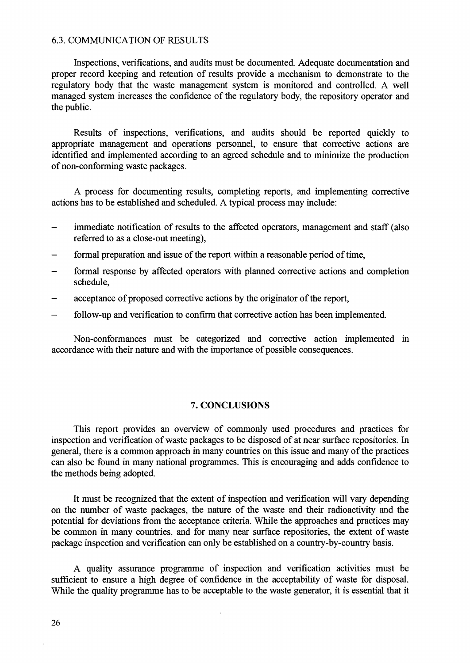#### 6.3. COMMUNICATION OF RESULTS

Inspections, verifications, and audits must be documented. Adequate documentation and proper record keeping and retention of results provide a mechanism to demonstrate to the regulatory body that the waste management system is monitored and controlled. A well managed system increases the confidence of the regulatory body, the repository operator and the public.

Results of inspections, verifications, and audits should be reported quickly to appropriate management and operations personnel, to ensure that corrective actions are identified and implemented according to an agreed schedule and to minimize the production of non-conforming waste packages.

A process for documenting results, completing reports, and implementing corrective actions has to be established and scheduled. A typical process may include:

- immediate notification of results to the affected operators, management and staff (also referred to as a close-out meeting),
- formal preparation and issue of the report within a reasonable period of time.
- formal response by affected operators with planned corrective actions and completion schedule,
- acceptance of proposed corrective actions by the originator of the report,
- follow-up and verification to confirm that corrective action has been implemented.

Non-conformances must be categorized and corrective action implemented in accordance with their nature and with the importance of possible consequences.

#### 7. CONCLUSIONS

This report provides an overview of commonly used procedures and practices for inspection and verification of waste packages to be disposed of at near surface repositories. In general, there is a common approach in many countries on this issue and many of the practices can also be found in many national programmes. This is encouraging and adds confidence to the methods being adopted.

It must be recognized that the extent of inspection and verification will vary depending on the number of waste packages, the nature of the waste and their radioactivity and the potential for deviations from the acceptance criteria. While the approaches and practices may be common in many countries, and for many near surface repositories, the extent of waste package inspection and verification can only be established on a country-by-country basis.

A quality assurance programme of inspection and verification activities must be sufficient to ensure a high degree of confidence in the acceptability of waste for disposal. While the quality programme has to be acceptable to the waste generator, it is essential that it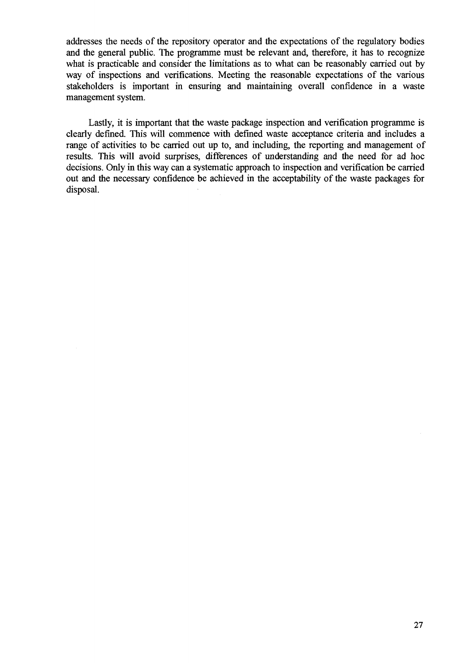addresses the needs of the repository operator and the expectations of the regulatory bodies and the general public. The programme must be relevant and, therefore, it has to recognize what is practicable and consider the limitations as to what can be reasonably carried out by way of inspections and verifications. Meeting the reasonable expectations of the various stakeholders is important in ensuring and maintaining overall confidence in a waste management system.

Lastly, it is important that the waste package inspection and verification programme is clearly defined. This will commence with defined waste acceptance criteria and includes a range of activities to be carried out up to, and including, the reporting and management of results. This will avoid surprises, differences of understanding and the need for ad hoc decisions. Only in this way can a systematic approach to inspection and verification be carried out and the necessary confidence be achieved in the acceptability of the waste packages for disposal.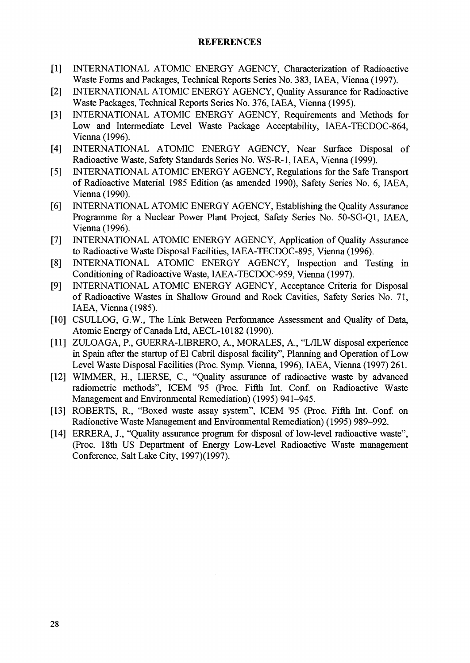#### **REFERENCES**

- [I] INTERNATIONAL ATOMIC ENERGY AGENCY, Characterization of Radioactive Waste Forms and Packages, Technical Reports Series No. 383, IAEA, Vienna (1997).
- [2] INTERNATIONAL ATOMIC ENERGY AGENCY, Quality Assurance for Radioactive Waste Packages, Technical Reports Series No. 376, IAEA, Vienna (1995).
- [3] INTERNATIONAL ATOMIC ENERGY AGENCY, Requirements and Methods for Low and Intermediate Level Waste Package Acceptability, IAEA-TECDOC-864, Vienna (1996).
- [4] INTERNATIONAL ATOMIC ENERGY AGENCY, Near Surface Disposal of Radioactive Waste, Safety Standards Series No. WS-R-1, IAEA, Vienna (1999).
- [5] INTERNATIONAL ATOMIC ENERGY AGENCY, Regulations for the Safe Transport of Radioactive Material 1985 Edition (as amended 1990), Safety Series No. 6, IAEA, Vienna (1990).
- [6] INTERNATIONAL ATOMIC ENERGY AGENCY, Establishing the Quality Assurance Programme for a Nuclear Power Plant Project, Safety Series No. 50-SG-Q1, IAEA, Vienna (1996).
- [7] INTERNATIONAL ATOMIC ENERGY AGENCY, Application of Quality Assurance to Radioactive Waste Disposal Facilities, IAEA-TECDOC-895, Vienna (1996).
- [8] INTERNATIONAL ATOMIC ENERGY AGENCY, Inspection and Testing in Conditioning of Radioactive Waste, IAEA-TECDOC-959, Vienna (1997).
- [9] INTERNATIONAL ATOMIC ENERGY AGENCY, Acceptance Criteria for Disposal of Radioactive Wastes in Shallow Ground and Rock Cavities, Safety Series No. 71, IAEA, Vienna (1985).
- [10] CSULLOG, G.W., The Link Between Performance Assessment and Quality of Data, Atomic Energy of Canada Ltd, AECL-10182 (1990).
- [II] ZULOAGA, P., GUERRA-LIBRERO, A., MORALES, A., "L/ILW disposal experience in Spain after the startup of El Cabril disposal facility", Planning and Operation of Low Level Waste Disposal Facilities (Proc. Symp. Vienna, 1996), IAEA, Vienna (1997) 261.
- [12] WIMMER, H., LIERSE, C., "Quality assurance of radioactive waste by advanced radiometric methods", ICEM '95 (Proc. Fifth Int. Conf. on Radioactive Waste Management and Environmental Remediation) (1995) 941-945.
- [13] ROBERTS, R., "Boxed waste assay system", ICEM '95 (Proc. Fifth Int. Conf. on Radioactive Waste Management and Environmental Remediation) (1995) 989-992.
- [14] ERRERA, J., "Quality assurance program for disposal of low-level radioactive waste", (Proc. 18th US Department of Energy Low-Level Radioactive Waste management Conference, Salt Lake City, 1997)(1997).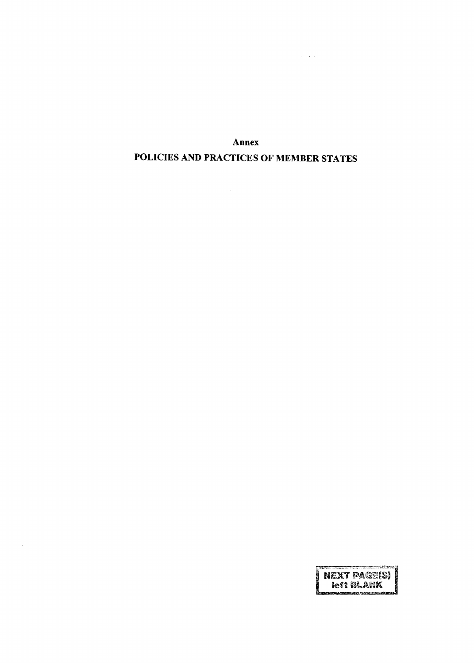Annex POLICIES AND PRACTICES OF MEMBER STATES

 $\sim 10^{-1}$ 

 $\omega = \sqrt{2} \omega$ 

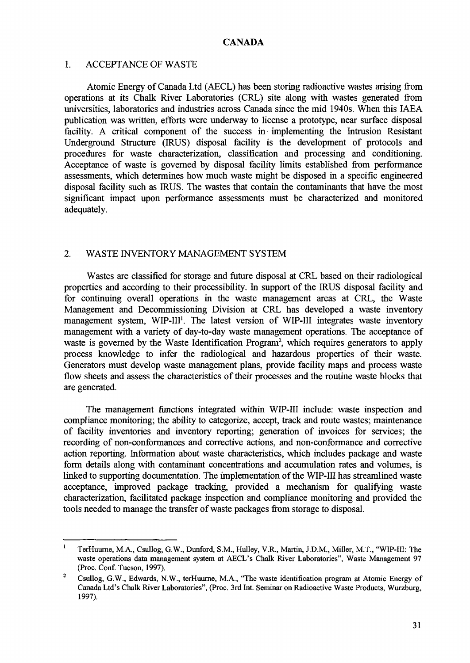#### **CANADA**

#### 1. ACCEPTANCE OF WASTE

Atomic Energy of Canada Ltd (AECL) has been storing radioactive wastes arising from operations at its Chalk River Laboratories (CRL) site along with wastes generated from universities, laboratories and industries across Canada since the mid 1940s. When this IAEA publication was written, efforts were underway to license a prototype, near surface disposal facility. A critical component of the success in implementing the Intrusion Resistant Underground Structure (IRUS) disposal facility is the development of protocols and procedures for waste characterization, classification and processing and conditioning. Acceptance of waste is governed by disposal facility limits established from performance assessments, which determines how much waste might be disposed in a specific engineered disposal facility such as IRUS. The wastes that contain the contaminants that have the most significant impact upon performance assessments must be characterized and monitored adequately.

#### 2. WASTE INVENTORY MANAGEMENT SYSTEM

Wastes are classified for storage and future disposal at CRL based on their radiological properties and according to their processibility. In support of the IRUS disposal facility and for continuing overall operations in the waste management areas at CRL, the Waste Management and Decommissioning Division at CRL has developed a waste inventory management system, WIP-III<sup>1</sup>. The latest version of WIP-III integrates waste inventory management with a variety of day-to-day waste management operations. The acceptance of waste is governed by the Waste Identification Program<sup>2</sup>, which requires generators to apply process knowledge to infer the radiological and hazardous properties of their waste. Generators must develop waste management plans, provide facility maps and process waste flow sheets and assess the characteristics of their processes and the routine waste blocks that are generated.

The management functions integrated within WIP-III include: waste inspection and compliance monitoring; the ability to categorize, accept, track and route wastes; maintenance of facility inventories and inventory reporting; generation of invoices for services; the recording of non-conformances and corrective actions, and non-conformance and corrective action reporting. Information about waste characteristics, which includes package and waste form details along with contaminant concentrations and accumulation rates and volumes, is linked to supporting documentation. The implementation of the WIP-III has streamlined waste acceptance, improved package tracking, provided a mechanism for qualifying waste characterization, facilitated package inspection and compliance monitoring and provided the tools needed to manage the transfer of waste packages from storage to disposal.

TerHuurne, M.A., Csullog, G.W., Dunford, S.M., Hulley, V.R., Martin, J.D.M., Miller, M.T., "WIP-III: The waste operations data management system at AECL's Chalk River Laboratories", Waste Management 97 (Proc. Conf. Tucson, 1997).

Csullog, G.W., Edwards, N.W., terHuurne, M.A., "The waste identification program at Atomic Energy of Canada Ltd's Chalk River Laboratories", (Proc. 3rd Int. Seminar on Radioactive Waste Products, Wurzburg, 1997).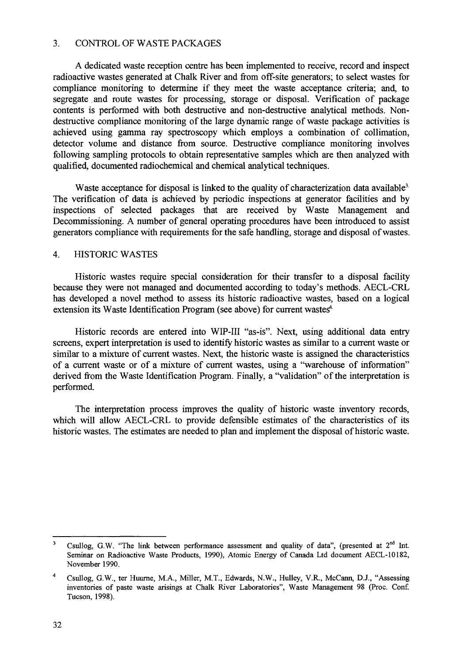#### 3. CONTROL OF WASTE PACKAGES

A dedicated waste reception centre has been implemented to receive, record and inspect radioactive wastes generated at Chalk River and from off-site generators; to select wastes for compliance monitoring to determine if they meet the waste acceptance criteria; and, to segregate and route wastes for processing, storage or disposal. Verification of package contents is performed with both destructive and non-destructive analytical methods. Nondestructive compliance monitoring of the large dynamic range of waste package activities is achieved using gamma ray spectroscopy which employs a combination of collimation, detector volume and distance from source. Destructive compliance monitoring involves following sampling protocols to obtain representative samples which are then analyzed with qualified, documented radiochemical and chemical analytical techniques.

Waste acceptance for disposal is linked to the quality of characterization data available<sup>3</sup> The verification of data is achieved by periodic inspections at generator facilities and by inspections of selected packages that are received by Waste Management and Decommissioning. A number of general operating procedures have been introduced to assist generators compliance with requirements for the safe handling, storage and disposal of wastes.

#### 4. HISTORIC WASTES

Historic wastes require special consideration for their transfer to a disposal facility because they were not managed and documented according to today's methods. AECL-CRL has developed a novel method to assess its historic radioactive wastes, based on a logical extension its Waste Identification Program (see above) for current wastes<sup>4</sup>

Historic records are entered into WIP-III "as-is". Next, using additional data entry screens, expert interpretation is used to identify historic wastes as similar to a current waste or similar to a mixture of current wastes. Next, the historic waste is assigned the characteristics of a current waste or of a mixture of current wastes, using a "warehouse of information" derived from the Waste Identification Program. Finally, a "validation" of the interpretation is performed.

The interpretation process improves the quality of historic waste inventory records, which will allow AECL-CRL to provide defensible estimates of the characteristics of its historic wastes. The estimates are needed to plan and implement the disposal of historic waste.

 $\overline{3}$ Csullog, G.W. "The link between performance assessment and quality of data", (presented at  $2<sup>nd</sup>$  Int. Seminar on Radioactive Waste Products, 1990), Atomic Energy of Canada Ltd document AECL-10182, November 1990.

 $\overline{4}$ Csullog, G.W., ter Huurne, M.A., Miller, M.T., Edwards, N.W., Hulley, V.R., McCann, D.J., "Assessing inventories of paste waste arisings at Chalk River Laboratories", Waste Management 98 (Proc. Conf. Tucson, 1998).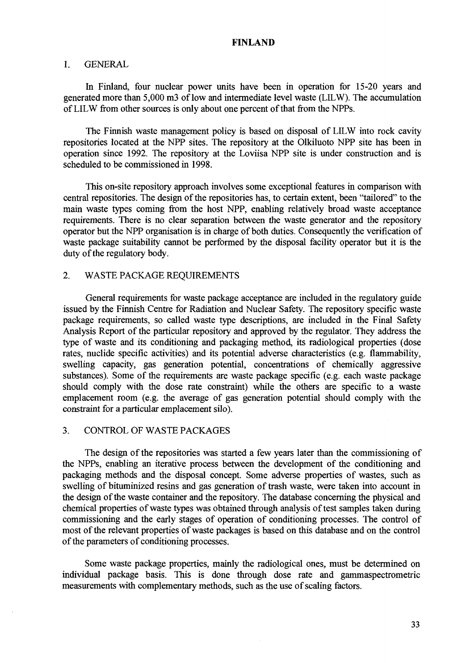#### **FINLAND**

#### **1.** GENERAL

In Finland, four nuclear power units have been in operation for 15-20 years and generated more than 5,000 m3 of low and intermediate level waste (LILW). The accumulation of LILW from other sources is only about one percent of that from the NPPs.

The Finnish waste management policy is based on disposal of LILW into rock cavity repositories located at the NPP sites. The repository at the Olkiluoto NPP site has been in operation since 1992. The repository at the Loviisa NPP site is under construction and is scheduled to be commissioned in 1998.

This on-site repository approach involves some exceptional features in comparison with central repositories. The design of the repositories has, to certain extent, been "tailored" to the main waste types coming from the host NPP, enabling relatively broad waste acceptance requirements. There is no clear separation between the waste generator and the repository operator but the NPP organisation is in charge of both duties. Consequently the verification of waste package suitability cannot be performed by the disposal facility operator but it is the duty of the regulatory body.

#### 2. WASTE PACKAGE REQUIREMENTS

General requirements for waste package acceptance are included in the regulatory guide issued by the Finnish Centre for Radiation and Nuclear Safety. The repository specific waste package requirements, so called waste type descriptions, are included in the Final Safety Analysis Report of the particular repository and approved by the regulator. They address the type of waste and its conditioning and packaging method, its radiological properties (dose rates, nuclide specific activities) and its potential adverse characteristics (e.g. flammability, swelling capacity, gas generation potential, concentrations of chemically aggressive substances). Some of the requirements are waste package specific (e.g. each waste package should comply with the dose rate constraint) while the others are specific to a waste emplacement room (e.g. the average of gas generation potential should comply with the constraint for a particular emplacement silo).

#### 3. CONTROL OF WASTE PACKAGES

The design of the repositories was started a few years later than the commissioning of the NPPs, enabling an iterative process between the development of the conditioning and packaging methods and the disposal concept. Some adverse properties of wastes, such as swelling of bituminized resins and gas generation of trash waste, were taken into account in the design of the waste container and the repository. The database concerning the physical and chemical properties of waste types was obtained through analysis of test samples taken during commissioning and the early stages of operation of conditioning processes. The control of most of the relevant properties of waste packages is based on this database and on the control of the parameters of conditioning processes.

Some waste package properties, mainly the radiological ones, must be determined on individual package basis. This is done through dose rate and gammaspectrometric measurements with complementary methods, such as the use of scaling factors.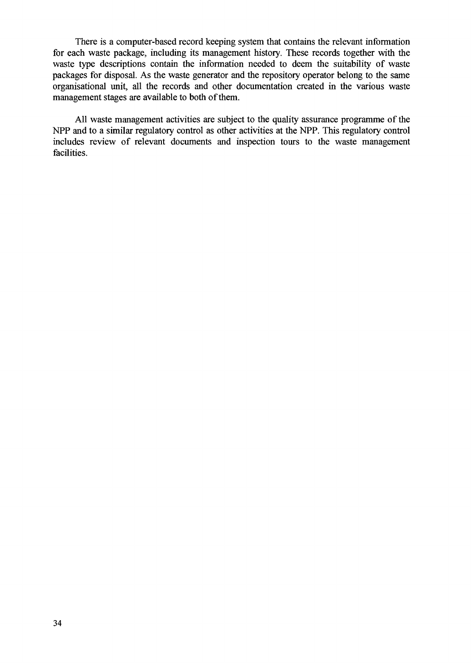There is a computer-based record keeping system that contains the relevant information for each waste package, including its management history. These records together with the waste type descriptions contain the information needed to deem the suitability of waste packages for disposal. As the waste generator and the repository operator belong to the same organisational unit, all the records and other documentation created in the various waste management stages are available to both of them.

All waste management activities are subject to the quality assurance programme of the NPP and to a similar regulatory control as other activities at the NPP. This regulatory control includes review of relevant documents and inspection tours to the waste management facilities.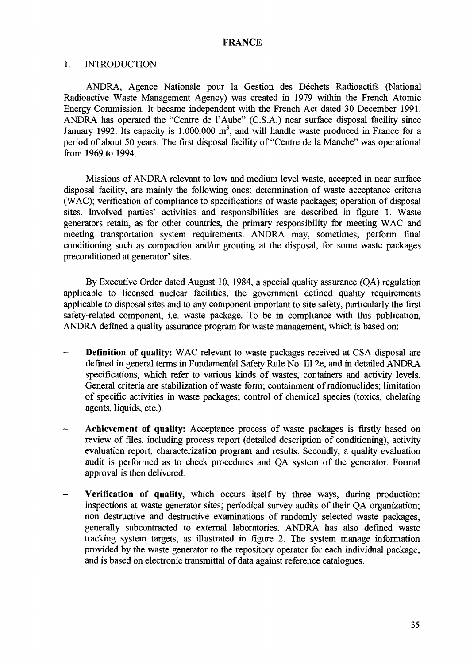#### FRANCE

#### 1. INTRODUCTION

ANDRA, Agence Nationale pour la Gestion des Déchets Radioactifs (National Radioactive Waste Management Agency) was created in 1979 within the French Atomic Energy Commission. It became independent with the French Act dated 30 December 1991. ANDRA has operated the "Centre de l'Aube" (C.S.A.) near surface disposal facility since January 1992. Its capacity is  $1.000.000 \text{ m}^3$ , and will handle waste produced in France for a period of about 50 years. The first disposal facility of "Centre de la Manche" was operational from 1969 to 1994.

Missions of ANDRA relevant to low and medium level waste, accepted in near surface disposal facility, are mainly the following ones: determination of waste acceptance criteria (WAC); verification of compliance to specifications of waste packages; operation of disposal sites. Involved parties' activities and responsibilities are described in figure 1. Waste generators retain, as for other countries, the primary responsibility for meeting WAC and meeting transportation system requirements. ANDRA may, sometimes, perform final conditioning such as compaction and/or grouting at the disposal, for some waste packages preconditioned at generator' sites.

By Executive Order dated August 10, 1984, a special quality assurance (QA) regulation applicable to licensed nuclear facilities, the government defined quality requirements applicable to disposal sites and to any component important to site safety, particularly the first safety-related component, i.e. waste package. To be in compliance with this publication, ANDRA defined a quality assurance program for waste management, which is based on:

- - **Definition of quality:** WAC relevant to waste packages received at CSA disposal are defined in general terms in Fundamental Safety Rule No. Ill 2e, and in detailed ANDRA specifications, which refer to various kinds of wastes, containers and activity levels. General criteria are stabilization of waste form; containment of radionuclides; limitation of specific activities in waste packages; control of chemical species (toxics, chelating agents, liquids, etc.).
- - **Achievement of quality:** Acceptance process of waste packages is firstly based on review of files, including process report (detailed description of conditioning), activity evaluation report, characterization program and results. Secondly, a quality evaluation audit is performed as to check procedures and QA system of the generator. Formal approval is then delivered.
- - **Verification of quality,** which occurs itself by three ways, during production: inspections at waste generator sites; periodical survey audits of their QA organization; non destructive and destructive examinations of randomly selected waste packages, generally subcontracted to external laboratories. ANDRA has also defined waste tracking system targets, as illustrated in figure 2. The system manage information provided by the waste generator to the repository operator for each individual package, and is based on electronic transmittal of data against reference catalogues.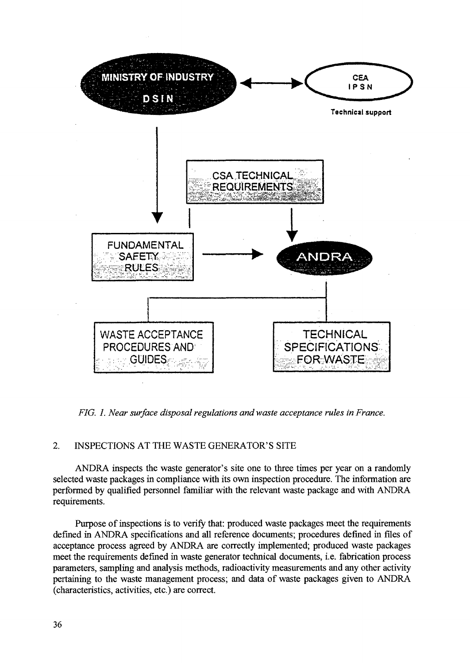

*FIG. 1. Near surface disposal regulations and waste acceptance rules in France.*

#### 2. INSPECTIONS AT THE WASTE GENERATOR'S SITE

ANDRA inspects the waste generator's site one to three times per year on a randomly selected waste packages in compliance with its own inspection procedure. The information are performed by qualified personnel familiar with the relevant waste package and with ANDRA requirements.

Purpose of inspections is to verify that: produced waste packages meet the requirements defined in ANDRA specifications and all reference documents; procedures defined in files of acceptance process agreed by ANDRA are correctly implemented; produced waste packages meet the requirements defined in waste generator technical documents, i.e. fabrication process parameters, sampling and analysis methods, radioactivity measurements and any other activity pertaining to the waste management process; and data of waste packages given to ANDRA (characteristics, activities, etc.) are correct.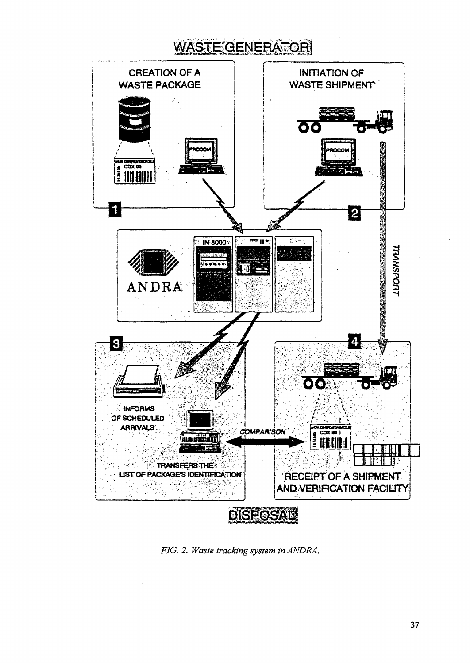# **WASTE GENERATOR**



*FIG. 2. Waste tracking system inANDRA.*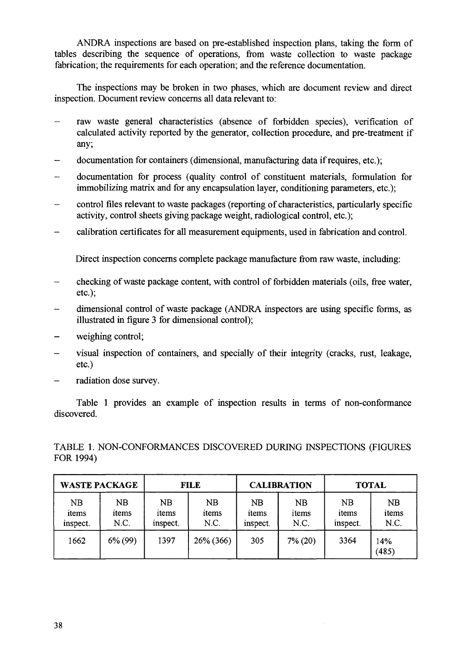ANDRA inspections are based on pre-established inspection plans, taking the form of tables describing the sequence of operations, from waste collection to waste package fabrication; the requirements for each operation; and the reference documentation.

The inspections may be broken in two phases, which are document review and direct inspection. Document review concerns all data relevant to:

- raw waste general characteristics (absence of forbidden species), verification of calculated activity reported by the generator, collection procedure, and pre-treatment if any;
- documentation for containers (dimensional, manufacturing data if requires, etc.);
- documentation for process (quality control of constituent materials, formulation for immobilizing matrix and for any encapsulation layer, conditioning parameters, etc.);
- control files relevant to waste packages (reporting of characteristics, particularly specific activity, control sheets giving package weight, radiological control, etc.);
- calibration certificates for all measurement equipments, used in fabrication and control.

Direct inspection concerns complete package manufacture from raw waste, including:

- checking of waste package content, with control of forbidden materials (oils, free water, etc.);
- dimensional control of waste package (ANDRA inspectors are using specific forms, as illustrated in figure 3 for dimensional control);
- weighing control;
- visual inspection of containers, and specially of their integrity (cracks, rust, leakage, etc.)
- radiation dose survey.

Table 1 provides an example of inspection results in terms of non-conformance discovered.

TABLE 1. NON-CONFORMANCES DISCOVERED DURING INSPECTIONS (FIGURES FOR 1994)

| <b>WASTE PACKAGE</b>           |                     | <b>FILE</b>                    |                     | <b>CALIBRATION</b>      |                            | <b>TOTAL</b>                   |                     |
|--------------------------------|---------------------|--------------------------------|---------------------|-------------------------|----------------------------|--------------------------------|---------------------|
| <b>NB</b><br>items<br>inspect. | NB<br>items<br>N.C. | <b>NB</b><br>items<br>inspect. | NB<br>items<br>N.C. | NB<br>items<br>inspect. | <b>NB</b><br>items<br>N.C. | <b>NB</b><br>items<br>inspect. | NB<br>items<br>N.C. |
| 1662                           | $6\% (99)$          | 1397                           | 26% (366)           | 305                     | $7\%$ (20)                 | 3364                           | 14%<br>(485)        |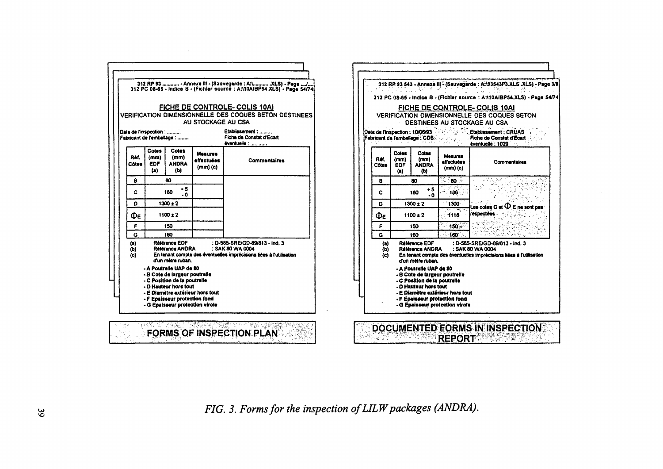|                   |                                |                                                                                                                   |                                                                                                                           | 312 RP 93  - Annexe III - (Sauvegarde : A:\ .XLS) - Page / <br>312 PC 08-65 - Indice B - (Fichler source : A:\10AIBP54.XLS) - Page 54/74 |
|-------------------|--------------------------------|-------------------------------------------------------------------------------------------------------------------|---------------------------------------------------------------------------------------------------------------------------|------------------------------------------------------------------------------------------------------------------------------------------|
|                   |                                |                                                                                                                   | AU STOCKAGE AU CSA                                                                                                        | FICHE DE CONTROLE-COLIS 10AI<br><b>VERIFICATION DIMENSIONNELLE DES COQUES BETON DESTINEES</b>                                            |
|                   | Date de l'inspection :         | Fabricant de l'emballage :                                                                                        |                                                                                                                           | Etablissement:<br>Ficha da Constat d'Ecart<br>éventuelle :                                                                               |
| Réf.<br>Cotes     | Cotes  <br>(mm)<br>EDF.<br>(a) | <b>Cotes</b><br>(mm)<br><b>ANDRA</b><br>(b)                                                                       | <b>Mesures</b><br>effectuées<br>(mm)(c)                                                                                   | Commentaires                                                                                                                             |
| ß                 |                                | 80                                                                                                                |                                                                                                                           |                                                                                                                                          |
| c                 | - 5<br>180<br>$\cdot$ $\alpha$ |                                                                                                                   |                                                                                                                           |                                                                                                                                          |
| o                 |                                | $1300 \pm 2$                                                                                                      |                                                                                                                           |                                                                                                                                          |
| Φε                |                                | $1100 \pm 2$                                                                                                      |                                                                                                                           |                                                                                                                                          |
| F                 |                                | 150                                                                                                               |                                                                                                                           |                                                                                                                                          |
| G                 |                                | 160                                                                                                               |                                                                                                                           |                                                                                                                                          |
| (a)<br>(b)<br>(c) |                                | Référence EDF<br>Référence ANDRA<br>d'un mètre ruban.                                                             | : D-585-SRE/GD-89/813 - Ind. 3<br>: SAK 80 WA 0004<br>En tenant compte des éventuelles imprécisions liées à l'utilisation |                                                                                                                                          |
|                   |                                | - A Poutrelle UAP de 20<br>- B Cote de largeur poutrelle<br>- C Position de la poutrelle<br>- D Hauteur hors tout | - E Diamètre extérieur hors tout                                                                                          |                                                                                                                                          |
|                   |                                | - F Epaisseur protection fond<br>- G Epaisseur protection virole                                                  |                                                                                                                           |                                                                                                                                          |



*FIG. 3. Forms for the inspection of LILW packages (ANDRA).*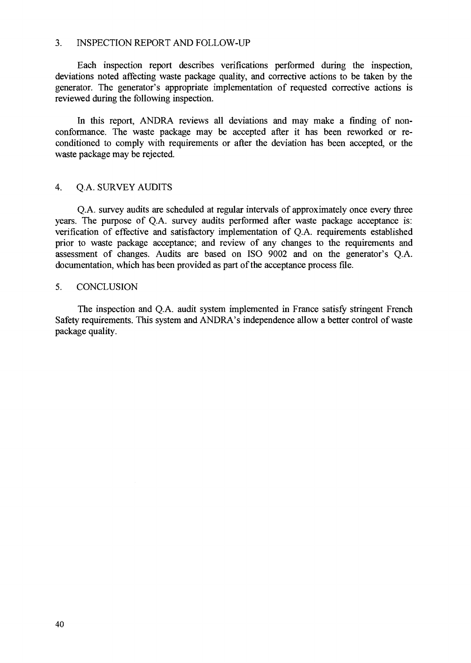#### 3. INSPECTION REPORT AND FOLLOW-UP

Each inspection report describes verifications performed during the inspection, deviations noted affecting waste package quality, and corrective actions to be taken by the generator. The generator's appropriate implementation of requested corrective actions is reviewed during the following inspection.

In this report, ANDRA reviews all deviations and may make a finding of nonconformance. The waste package may be accepted after it has been reworked or reconditioned to comply with requirements or after the deviation has been accepted, or the waste package may be rejected.

#### 4. Q.A. SURVEY AUDITS

Q. A. survey audits are scheduled at regular intervals of approximately once every three years. The purpose of Q.A. survey audits performed after waste package acceptance is: verification of effective and satisfactory implementation of Q.A. requirements established prior to waste package acceptance; and review of any changes to the requirements and assessment of changes. Audits are based on ISO 9002 and on the generator's Q.A. documentation, which has been provided as part of the acceptance process file.

#### 5. CONCLUSION

The inspection and Q.A. audit system implemented in France satisfy stringent French Safety requirements. This system and ANDRA's independence allow a better control of waste package quality.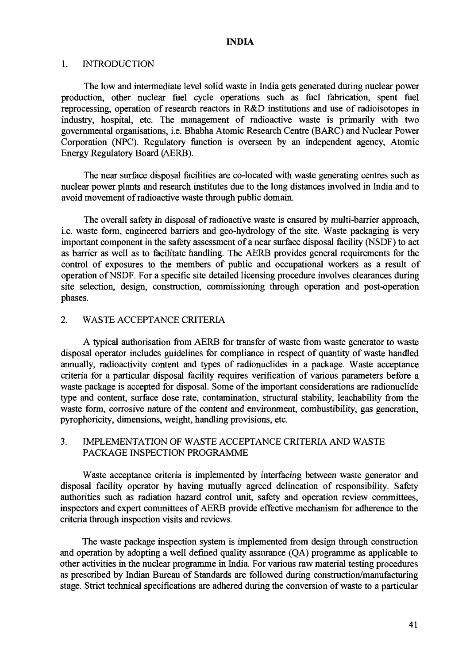#### **INDIA**

#### 1. INTRODUCTION

The low and intermediate level solid waste in India gets generated during nuclear power production, other nuclear fuel cycle operations such as fuel fabrication, spent fuel reprocessing, operation of research reactors in R&D institutions and use of radioisotopes in industry, hospital, etc. The management of radioactive waste is primarily with two governmental organisations, i.e. Bhabha Atomic Research Centre (BARC) and Nuclear Power Corporation (NPC). Regulatory function is overseen by an independent agency, Atomic Energy Regulatory Board (AERB).

The near surface disposal facilities are co-located with waste generating centres such as nuclear power plants and research institutes due to the long distances involved in India and to avoid movement of radioactive waste through public domain.

The overall safety in disposal of radioactive waste is ensured by multi-barrier approach, i.e. waste form, engineered barriers and geo-hydrology of the site. Waste packaging is very important component in the safety assessment of a near surface disposal facility (NSDF) to act as barrier as well as to facilitate handling. The AERB provides general requirements for the control of exposures to the members of public and occupational workers as a result of operation of NSDF. For a specific site detailed licensing procedure involves clearances during site selection, design, construction, commissioning through operation and post-operation phases.

#### 2. WASTE ACCEPTANCE CRITERIA

A typical authorisation from AERB for transfer of waste from waste generator to waste disposal operator includes guidelines for compliance in respect of quantity of waste handled annually, radioactivity content and types of radionuclides in a package. Waste acceptance criteria for a particular disposal facility requires verification of various parameters before a waste package is accepted for disposal. Some of the important considerations are radionuclide type and content, surface dose rate, contamination, structural stability, leachability from the waste form, corrosive nature of the content and environment, combustibility, gas generation, pyrophoricity, dimensions, weight, handling provisions, etc.

#### 3. IMPLEMENTATION OF WASTE ACCEPTANCE CRITERIA AND WASTE PACKAGE INSPECTION PROGRAMME

Waste acceptance criteria is implemented by interfacing between waste generator and disposal facility operator by having mutually agreed delineation of responsibility. Safety authorities such as radiation hazard control unit, safety and operation review committees, inspectors and expert committees of AERB provide effective mechanism for adherence to the criteria through inspection visits and reviews.

The waste package inspection system is implemented from design through construction and operation by adopting a well defined quality assurance (QA) programme as applicable to other activities in the nuclear programme in India. For various raw material testing procedures as prescribed by Indian Bureau of Standards are followed during construction/manufacturing stage. Strict technical specifications are adhered during the conversion of waste to a particular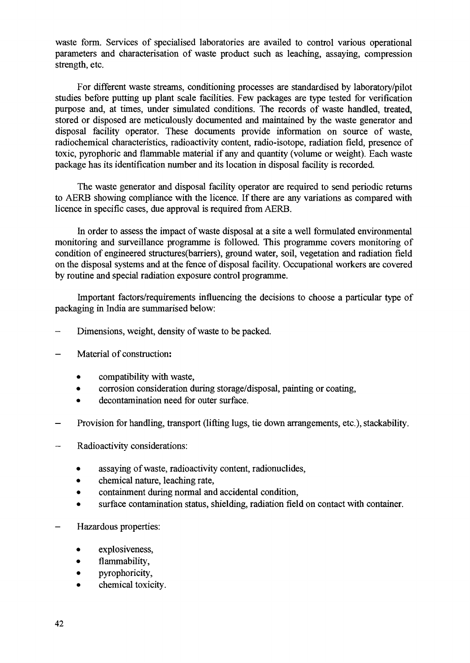waste form. Services of specialised laboratories are availed to control various operational parameters and characterisation of waste product such as leaching, assaying, compression strength, etc.

For different waste streams, conditioning processes are standardised by laboratory/pilot studies before putting up plant scale facilities. Few packages are type tested for verification purpose and, at times, under simulated conditions. The records of waste handled, treated, stored or disposed are meticulously documented and maintained by the waste generator and disposal facility operator. These documents provide information on source of waste, radiochemical characteristics, radioactivity content, radio-isotope, radiation field, presence of toxic, pyrophoric and flammable material if any and quantity (volume or weight). Each waste package has its identification number and its location in disposal facility is recorded.

The waste generator and disposal facility operator are required to send periodic returns to AERB showing compliance with the licence. If there are any variations as compared with licence in specific cases, due approval is required from AERB.

In order to assess the impact of waste disposal at a site a well formulated environmental monitoring and surveillance programme is followed. This programme covers monitoring of condition of engineered structures(barriers), ground water, soil, vegetation and radiation field on the disposal systems and at the fence of disposal facility. Occupational workers are covered by routine and special radiation exposure control programme.

Important factors/requirements influencing the decisions to choose a particular type of packaging in India are summarised below:

- Dimensions, weight, density of waste to be packed.
- Material of construction:
	- compatibility with waste,
	- corrosion consideration during storage/disposal, painting or coating,<br>• decontamination need for outer surface.
	-
- Provision for handling, transport (lifting lugs, tie down arrangements, etc.), stackability.
- Radioactivity considerations:
	- assaying of waste, radioactivity content, radionuclides,
	- chemical nature, leaching rate,
	- containment during normal and accidental condition,
	- surface contamination status, shielding, radiation field on contact with container.
- Hazardous properties:
	- explosiveness,
	- flammability,
	- pyrophoricity,
	- chemical toxicity.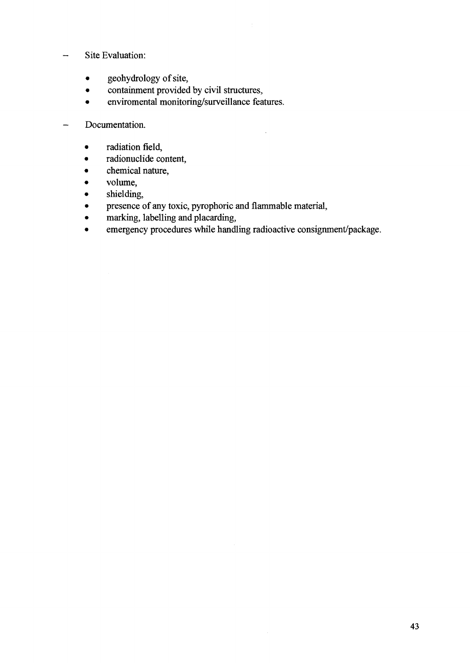#### - Site Evaluation:

- geohydrology of site,
- containment provided by civil structures,
- enviromental monitoring/surveillance features.

- Documentation.

- radiation field,
- radionuclide content,
- chemical nature,
- volume,
- shielding,
- presence of any toxic, pyrophoric and flammable material,
- marking, labelling and placarding,
- emergency procedures while handling radioactive consignment/package.

l,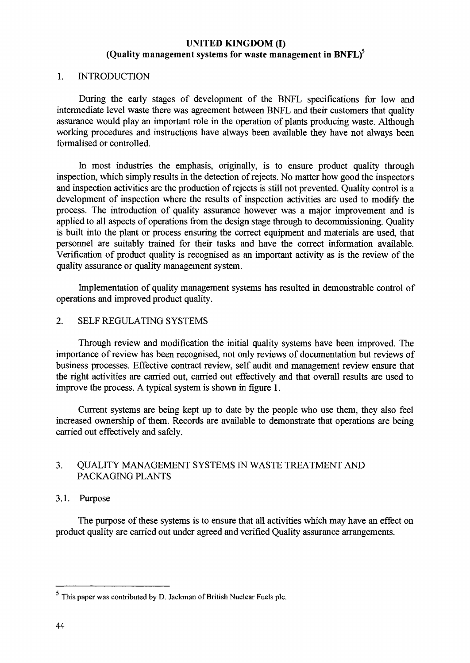#### **UNITED KINGDOM (I) (Quality management systems for waste management in BNFL)<sup>5</sup>**

#### 1. INTRODUCTION

During the early stages of development of the BNFL specifications for low and intermediate level waste there was agreement between BNFL and their customers that quality assurance would play an important role in the operation of plants producing waste. Although working procedures and instructions have always been available they have not always been formalised or controlled.

In most industries the emphasis, originally, is to ensure product quality through inspection, which simply results in the detection of rejects. No matter how good the inspectors and inspection activities are the production of rejects is still not prevented. Quality control is a development of inspection where the results of inspection activities are used to modify the process. The introduction of quality assurance however was a major improvement and is applied to all aspects of operations from the design stage through to decommissioning. Quality is built into the plant or process ensuring the correct equipment and materials are used, that personnel are suitably trained for their tasks and have the correct information available. Verification of product quality is recognised as an important activity as is the review of the quality assurance or quality management system.

Implementation of quality management systems has resulted in demonstrable control of operations and improved product quality.

#### 2. SELF REGULATING SYSTEMS

Through review and modification the initial quality systems have been improved. The importance of review has been recognised, not only reviews of documentation but reviews of business processes. Effective contract review, self audit and management review ensure that the right activities are carried out, carried out effectively and that overall results are used to improve the process. A typical system is shown in figure 1.

Current systems are being kept up to date by the people who use them, they also feel increased ownership of them. Records are available to demonstrate that operations are being carried out effectively and safely.

#### 3. QUALITY MANAGEMENT SYSTEMS IN WASTE TREATMENT AND PACKAGING PLANTS

#### 3.1. Purpose

The purpose of these systems is to ensure that all activities which may have an effect on product quality are carried out under agreed and verified Quality assurance arrangements.

This paper was contributed by D. Jackman of British Nuclear Fuels pic.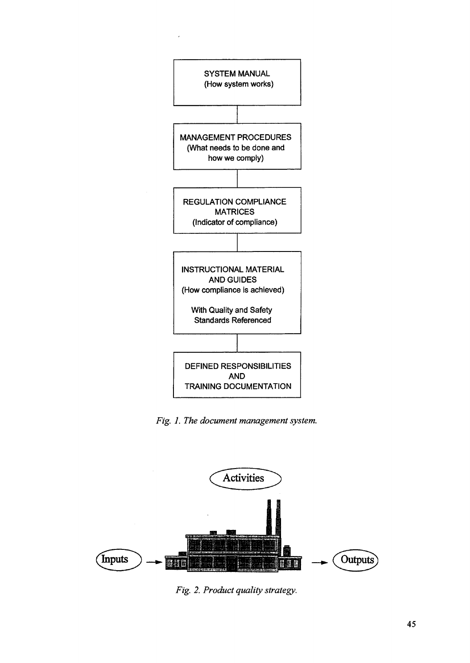

*Fig. 1. The document management system.*



*Fig. 2. Product quality strategy.*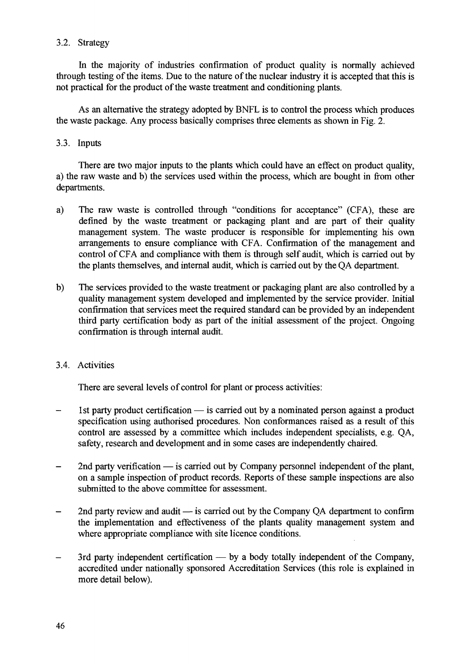#### 3.2. Strategy

In the majority of industries confirmation of product quality is normally achieved through testing of the items. Due to the nature of the nuclear industry it is accepted that this is not practical for the product of the waste treatment and conditioning plants.

As an alternative the strategy adopted by BNFL is to control the process which produces the waste package. Any process basically comprises three elements as shown in Fig. 2.

#### 3.3. Inputs

There are two major inputs to the plants which could have an effect on product quality, a) the raw waste and b) the services used within the process, which are bought in from other departments.

- a) The raw waste is controlled through "conditions for acceptance" (CFA), these are defined by the waste treatment or packaging plant and are part of their quality management system. The waste producer is responsible for implementing his own arrangements to ensure compliance with CFA. Confirmation of the management and control of CFA and compliance with them is through self audit, which is carried out by the plants themselves, and internal audit, which is carried out by the QA department.
- b) The services provided to the waste treatment or packaging plant are also controlled by a quality management system developed and implemented by the service provider. Initial confirmation that services meet the required standard can be provided by an independent third party certification body as part of the initial assessment of the project. Ongoing confirmation is through internal audit.

#### 3.4. Activities

There are several levels of control for plant or process activities:

- 1st party product certification is carried out by a nominated person against a product specification using authorised procedures. Non conformances raised as a result of this control are assessed by a committee which includes independent specialists, e.g. QA, safety, research and development and in some cases are independently chaired.
- 2nd party verification is carried out by Company personnel independent of the plant,  $\overline{\phantom{0}}$ on a sample inspection of product records. Reports of these sample inspections are also submitted to the above committee for assessment.
- 2nd party review and audit  $-$  is carried out by the Company QA department to confirm the implementation and effectiveness of the plants quality management system and where appropriate compliance with site licence conditions.
- 3rd party independent certification by a body totally independent of the Company, accredited under nationally sponsored Accreditation Services (this role is explained in more detail below).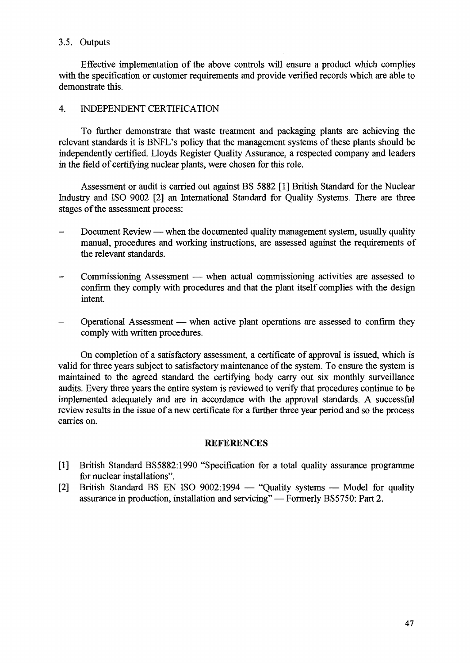#### 3.5. Outputs

Effective implementation of the above controls will ensure a product which complies with the specification or customer requirements and provide verified records which are able to demonstrate this.

#### 4. INDEPENDENT CERTIFICATION

To further demonstrate that waste treatment and packaging plants are achieving the relevant standards it is BNFL's policy that the management systems of these plants should be independently certified. Lloyds Register Quality Assurance, a respected company and leaders in the field of certifying nuclear plants, were chosen for this role.

Assessment or audit is carried out against BS 5882 [1] British Standard for the Nuclear Industry and ISO 9002 [2] an International Standard for Quality Systems. There are three stages of the assessment process:

- Document Review when the documented quality management system, usually quality manual, procedures and working instructions, are assessed against the requirements of the relevant standards.
- Commissioning Assessment when actual commissioning activities are assessed to confirm they comply with procedures and that the plant itself complies with the design intent.
- Operational Assessment when active plant operations are assessed to confirm they comply with written procedures.

On completion of a satisfactory assessment, a certificate of approval is issued, which is valid for three years subject to satisfactory maintenance of the system. To ensure the system is maintained to the agreed standard the certifying body carry out six monthly surveillance audits. Every three years the entire system is reviewed to verify that procedures continue to be implemented adequately and are in accordance with the approval standards. A successful review results in the issue of a new certificate for a further three year period and so the process carries on.

#### **REFERENCES**

- [1] British Standard BS5882:1990 "Specification for a total quality assurance programme for nuclear installations".
- [2] British Standard BS EN ISO 9002:1994 "Quality systems Model for quality assurance in production, installation and servicing" — Formerly BS5750: Part 2.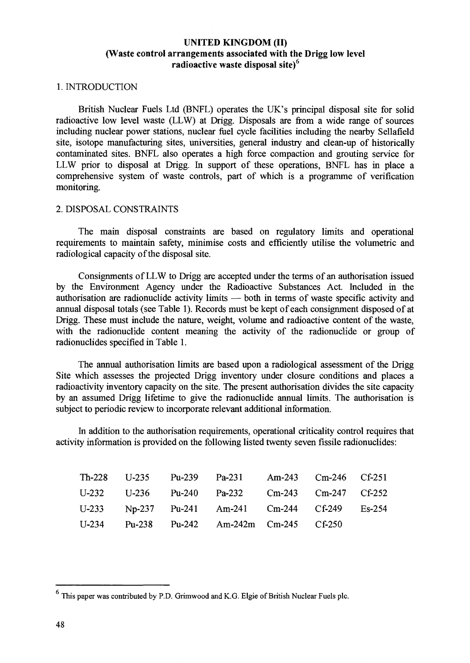#### **UNITED KINGDOM (II) (Waste control arrangements associated with the Drigg low level radioactive waste disposal site)<sup>5</sup>**

#### **1.** INTRODUCTION

British Nuclear Fuels Ltd (BNFL) operates the UK's principal disposal site for solid radioactive low level waste (LLW) at Drigg. Disposals are from a wide range of sources including nuclear power stations, nuclear fuel cycle facilities including the nearby Sellafield site, isotope manufacturing sites, universities, general industry and clean-up of historically contaminated sites. BNFL also operates a high force compaction and grouting service for LLW prior to disposal at Drigg. In support of these operations, BNFL has in place a comprehensive system of waste controls, part of which is a programme of verification monitoring.

#### 2. DISPOSAL CONSTRAINTS

The main disposal constraints are based on regulatory limits and operational requirements to maintain safety, minimise costs and efficiently utilise the volumetric and radiological capacity of the disposal site.

Consignments of LLW to Drigg are accepted under the terms of an authorisation issued by the Environment Agency under the Radioactive Substances Act. Included in the authorisation are radionuclide activity limits — both in terms of waste specific activity and annual disposal totals (see Table 1). Records must be kept of each consignment disposed of at Drigg. These must include the nature, weight, volume and radioactive content of the waste, with the radionuclide content meaning the activity of the radionuclide or group of radionuclides specified in Table 1.

The annual authorisation limits are based upon a radiological assessment of the Drigg Site which assesses the projected Drigg inventory under closure conditions and places a radioactivity inventory capacity on the site. The present authorisation divides the site capacity by an assumed Drigg lifetime to give the radionuclide annual limits. The authorisation is subject to periodic review to incorporate relevant additional information.

In addition to the authorisation requirements, operational criticality control requires that activity information is provided on the following listed twenty seven fissile radionuclides:

|  | Th-228 U-235 Pu-239 Pa-231 Am-243 Cm-246 Cf-251 |  |  |
|--|-------------------------------------------------|--|--|
|  | U-232 U-236 Pu-240 Pa-232 Cm-243 Cm-247 Cf-252  |  |  |
|  | U-233 Np-237 Pu-241 Am-241 Cm-244 Cf-249 Es-254 |  |  |
|  | U-234 Pu-238 Pu-242 Am-242m Cm-245 Cf-250       |  |  |

This paper was contributed by P.D. Grimwood and K.G. Elgie of British Nuclear Fuels pic.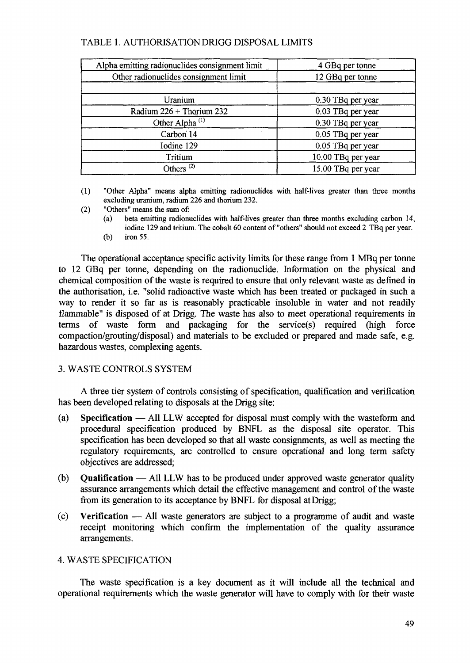#### TABLE 1. AUTHORISATION DRIGG DISPOSAL LIMITS

| Alpha emitting radionuclides consignment limit | 4 GBq per tonne    |  |  |
|------------------------------------------------|--------------------|--|--|
| Other radionuclides consignment limit          | 12 GBq per tonne   |  |  |
|                                                |                    |  |  |
| Uranium                                        | 0.30 TBq per year  |  |  |
| Radium 226 + Thorium 232                       | 0.03 TBq per year  |  |  |
| Other Alpha <sup>(1)</sup>                     | 0.30 TBq per year  |  |  |
| Carbon 14                                      | 0.05 TBq per year  |  |  |
| Iodine 129                                     | 0.05 TBq per year  |  |  |
| Tritium                                        | 10.00 TBq per year |  |  |
| Others <sup><math>(2)</math></sup>             | 15.00 TBq per year |  |  |

(1) "Other Alpha" means alpha emitting radionuclides with half-lives greater than three months excluding uranium, radium 226 and thorium 232.

- (2) "Others" means the sum of:
	- (a) beta emitting radionuclides with half-lives greater than three months excluding carbon 14, iodine 129 and tritium. The cobalt 60 content of "others" should not exceed 2 TBq per year.
	- (b) iron 55.

The operational acceptance specific activity limits for these range from 1 MBq per tonne to 12 GBq per tonne, depending on the radionuclide. Information on the physical and chemical composition of the waste is required to ensure that only relevant waste as defined in the authorisation, i.e. "solid radioactive waste which has been treated or packaged in such a way to render it so far as is reasonably practicable insoluble in water and not readily flammable" is disposed of at Drigg. The waste has also to meet operational requirements in terms of waste form and packaging for the service(s) required (high force compaction/grouting/disposal) and materials to be excluded or prepared and made safe, e.g. hazardous wastes, complexing agents.

#### 3. WASTE CONTROLS SYSTEM

A three tier system of controls consisting of specification, qualification and verification has been developed relating to disposals at the Drigg site:

- (a) Specification All LLW accepted for disposal must comply with the wasteform and procedural specification produced by BNFL as the disposal site operator. This specification has been developed so that all waste consignments, as well as meeting the regulatory requirements, are controlled to ensure operational and long term safety objectives are addressed;
- (b) Qualification All LLW has to be produced under approved waste generator quality assurance arrangements which detail the effective management and control of the waste from its generation to its acceptance by BNFL for disposal at Drigg;
- (c) Verification All waste generators are subject to a programme of audit and waste receipt monitoring which confirm the implementation of the quality assurance arrangements.

#### 4. WASTE SPECIFICATION

The waste specification is a key document as it will include all the technical and operational requirements which the waste generator will have to comply with for their waste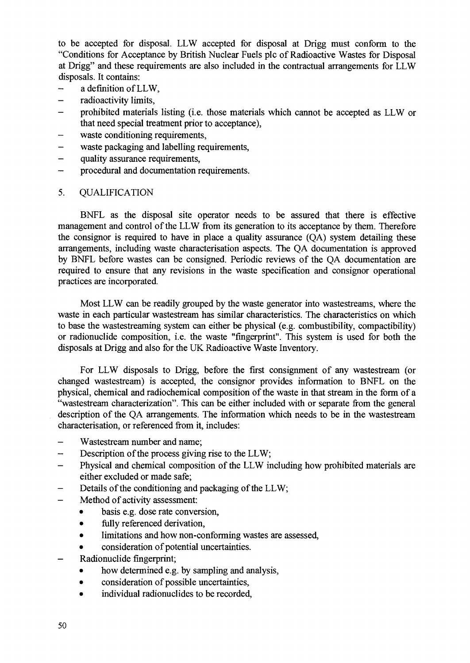to be accepted for disposal. LLW accepted for disposal at Drigg must conform to the "Conditions for Acceptance by British Nuclear Fuels pic of Radioactive Wastes for Disposal at Drigg" and these requirements are also included in the contractual arrangements for LLW disposals. It contains:

- a definition of LLW,
- radioactivity limits,
- prohibited materials listing (i.e. those materials which cannot be accepted as LLW or that need special treatment prior to acceptance),
- waste conditioning requirements,
- waste packaging and labelling requirements,
- quality assurance requirements,
- procedural and documentation requirements.

#### 5. QUALIFICATION

BNFL as the disposal site operator needs to be assured that there is effective management and control of the LLW from its generation to its acceptance by them. Therefore the consignor is required to have in place a quality assurance (QA) system detailing these arrangements, including waste characterisation aspects. The QA documentation is approved by BNFL before wastes can be consigned. Periodic reviews of the QA documentation are required to ensure that any revisions in the waste specification and consignor operational practices are incorporated.

Most LLW can be readily grouped by the waste generator into wastestreams, where the waste in each particular wastestream has similar characteristics. The characteristics on which to base the wastestreaming system can either be physical (e.g. combustibility, compactibility) or radionuclide composition, i.e. the waste "fingerprint". This system is used for both the disposals at Drigg and also for the UK Radioactive Waste Inventory.

For LLW disposals to Drigg, before the first consignment of any wastestream (or changed wastestream) is accepted, the consignor provides information to BNFL on the physical, chemical and radiochemical composition of the waste in that stream in the form of a "wastestream characterization". This can be either included with or separate from the general description of the QA arrangements. The information which needs to be in the wastestream characterisation, or referenced from it, includes:

- Wastestream number and name;
- Description of the process giving rise to the LLW;
- Physical and chemical composition of the LLW including how prohibited materials are either excluded or made safe;
- Details of the conditioning and packaging of the LLW;
- Method of activity assessment:
	- basis e.g. dose rate conversion,
	- fully referenced derivation,
	- limitations and how non-conforming wastes are assessed,
	- consideration of potential uncertainties.
- Radionuclide fingerprint;
	- how determined e.g. by sampling and analysis,
	- consideration of possible uncertainties,
	- individual radionuclides to be recorded,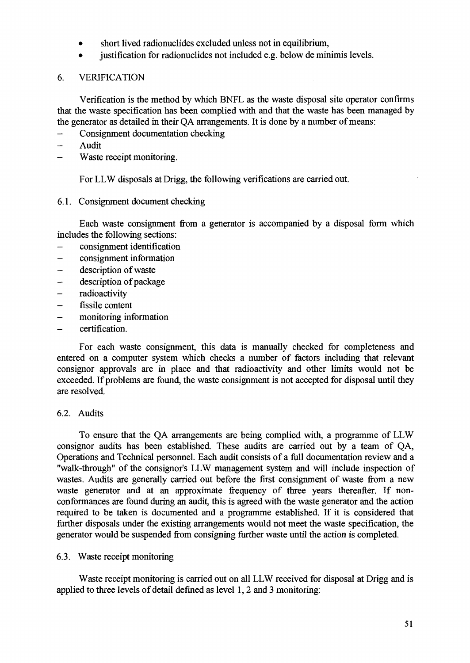- short lived radionuclides excluded unless not in equilibrium,
- justification for radionuclides not included e.g. below de minimis levels.
- 6. VERIFICATION

Verification is the method by which BNFL as the waste disposal site operator confirms that the waste specification has been complied with and that the waste has been managed by the generator as detailed in their QA arrangements. It is done by a number of means:

- Consignment documentation checking
- $\overline{\phantom{a}}$ Audit
- Waste receipt monitoring.

For LLW disposals at Drigg, the following verifications are carried out.

6.1. Consignment document checking

Each waste consignment from a generator is accompanied by a disposal form which includes the following sections:

- consignment identification
- consignment information
- description of waste
- description of package  $\overline{\phantom{a}}$
- radioactivity
- fissile content
- monitoring information
- certification.

For each waste consignment, this data is manually checked for completeness and entered on a computer system which checks a number of factors including that relevant consignor approvals are in place and that radioactivity and other limits would not be exceeded. If problems are found, the waste consignment is not accepted for disposal until they are resolved.

#### 6.2. Audits

To ensure that the QA arrangements are being complied with, a programme of LLW consignor audits has been established. These audits are carried out by a team of QA, Operations and Technical personnel. Each audit consists of a full documentation review and a "walk-through" of the consignor's LLW management system and will include inspection of wastes. Audits are generally carried out before the first consignment of waste from a new waste generator and at an approximate frequency of three years thereafter. If nonconformances are found during an audit, this is agreed with the waste generator and the action required to be taken is documented and a programme established. If it is considered that further disposals under the existing arrangements would not meet the waste specification, the generator would be suspended from consigning further waste until the action is completed.

#### 6.3. Waste receipt monitoring

Waste receipt monitoring is carried out on all LLW received for disposal at Drigg and is applied to three levels of detail defined as level 1,2 and 3 monitoring: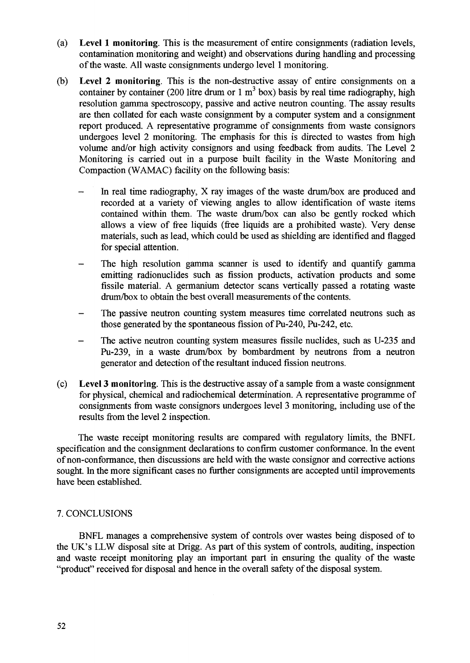- **(a) Level 1 monitoring.** This is the measurement of entire consignments (radiation levels, contamination monitoring and weight) and observations during handling and processing of the waste. All waste consignments undergo level 1 monitoring.
- (b) **Level 2 monitoring.** This is the non-destructive assay of entire consignments on a container by container (200 litre drum or 1 m<sup>3</sup> box) basis by real time radiography, high resolution gamma spectroscopy, passive and active neutron counting. The assay results are then collated for each waste consignment by a computer system and a consignment report produced. A representative programme of consignments from waste consignors undergoes level 2 monitoring. The emphasis for this is directed to wastes from high volume and/or high activity consignors and using feedback from audits. The Level 2 Monitoring is carried out in a purpose built facility in the Waste Monitoring and Compaction (WAMAC) facility on the following basis:
	- In real time radiography, X ray images of the waste drum/box are produced and recorded at a variety of viewing angles to allow identification of waste items contained within them. The waste drum/box can also be gently rocked which allows a view of free liquids (free liquids are a prohibited waste). Very dense materials, such as lead, which could be used as shielding are identified and flagged for special attention.
	- The high resolution gamma scanner is used to identify and quantify gamma emitting radionuclides such as fission products, activation products and some fissile material. A germanium detector scans vertically passed a rotating waste drum/box to obtain the best overall measurements of the contents.
	- The passive neutron counting system measures time correlated neutrons such as those generated by the spontaneous fission of Pu-240, Pu-242, etc.
	- The active neutron counting system measures fissile nuclides, such as U-235 and Pu-239, in a waste drum/box by bombardment by neutrons from a neutron generator and detection of the resultant induced fission neutrons.
- (c) **Level 3 monitoring.** This is the destructive assay of a sample from a waste consignment for physical, chemical and radiochemical determination. A representative programme of consignments from waste consignors undergoes level 3 monitoring, including use of the results from the level 2 inspection.

The waste receipt monitoring results are compared with regulatory limits, the BNFL specification and the consignment declarations to confirm customer conformance. In the event of non-conformance, then discussions are held with the waste consignor and corrective actions sought. In the more significant cases no further consignments are accepted until improvements have been established.

#### 7. CONCLUSIONS

BNFL manages a comprehensive system of controls over wastes being disposed of to the UK's LLW disposal site at Drigg. As part of this system of controls, auditing, inspection and waste receipt monitoring play an important part in ensuring the quality of the waste "product" received for disposal and hence in the overall safety of the disposal system.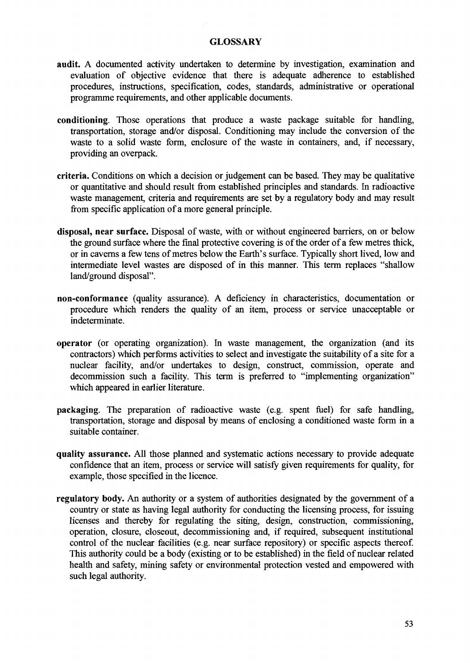#### **GLOSSARY**

- **audit.** A documented activity undertaken to determine by investigation, examination and evaluation of objective evidence that there is adequate adherence to established procedures, instructions, specification, codes, standards, administrative or operational programme requirements, and other applicable documents.
- **conditioning.** Those operations that produce a waste package suitable for handling, transportation, storage and/or disposal. Conditioning may include the conversion of the waste to a solid waste form, enclosure of the waste in containers, and, if necessary, providing an overpack.
- **criteria.** Conditions on which a decision or judgement can be based. They may be qualitative or quantitative and should result from established principles and standards. In radioactive waste management, criteria and requirements are set by a regulatory body and may result from specific application of a more general principle.
- **disposal, near surface.** Disposal of waste, with or without engineered barriers, on or below the ground surface where the final protective covering is of the order of a few metres thick, or in caverns a few tens of metres below the Earth's surface. Typically short lived, low and intermediate level wastes are disposed of in this manner. This term replaces "shallow land/ground disposal".
- **non-conformance** (quality assurance). A deficiency in characteristics, documentation or procedure which renders the quality of an item, process or service unacceptable or indeterminate.
- **operator** (or operating organization). In waste management, the organization (and its contractors) which performs activities to select and investigate the suitability of a site for a nuclear facility, and/or undertakes to design, construct, commission, operate and decommission such a facility. This term is preferred to "implementing organization" which appeared in earlier literature.
- packaging. The preparation of radioactive waste (e.g. spent fuel) for safe handling, transportation, storage and disposal by means of enclosing a conditioned waste form in a suitable container.
- **quality assurance.** All those planned and systematic actions necessary to provide adequate confidence that an item, process or service will satisfy given requirements for quality, for example, those specified in the licence.
- regulatory body. An authority or a system of authorities designated by the government of a country or state as having legal authority for conducting the licensing process, for issuing licenses and thereby for regulating the siting, design, construction, commissioning, operation, closure, closeout, decommissioning and, if required, subsequent institutional control of the nuclear facilities (e.g. near surface repository) or specific aspects thereof. This authority could be a body (existing or to be established) in the field of nuclear related health and safety, mining safety or environmental protection vested and empowered with such legal authority.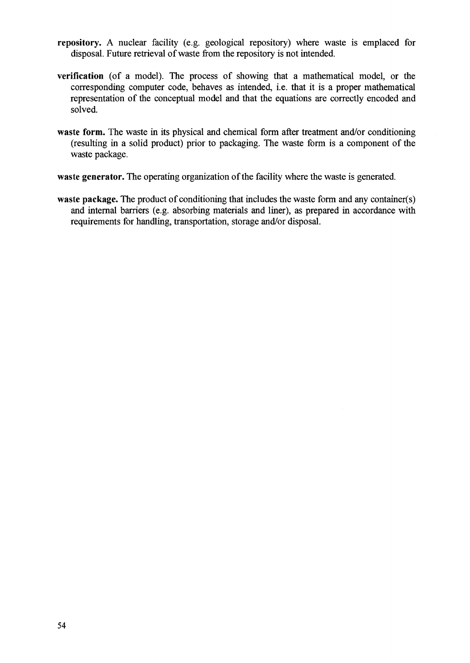- **repository.** A nuclear facility (e.g. geological repository) where waste is emplaced for disposal. Future retrieval of waste from the repository is not intended.
- **verification** (of a model). The process of showing that a mathematical model, or the corresponding computer code, behaves as intended, i.e. that it is a proper mathematical representation of the conceptual model and that the equations are correctly encoded and solved.
- waste form. The waste in its physical and chemical form after treatment and/or conditioning (resulting in a solid product) prior to packaging. The waste form is a component of the waste package.
- **waste generator.** The operating organization of the facility where the waste is generated.
- **waste package.** The product of conditioning that includes the waste form and any container(s) and internal barriers (e.g. absorbing materials and liner), as prepared in accordance with requirements for handling, transportation, storage and/or disposal.